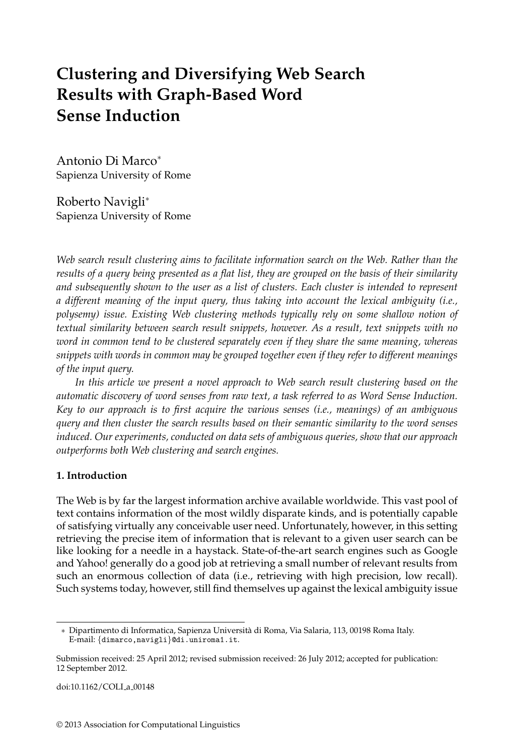# **Clustering and Diversifying Web Search Results with Graph-Based Word Sense Induction**

Antonio Di Marco<sup>∗</sup> Sapienza University of Rome

Roberto Navigli<sup>∗</sup> Sapienza University of Rome

*Web search result clustering aims to facilitate information search on the Web. Rather than the results of a query being presented as a flat list, they are grouped on the basis of their similarity and subsequently shown to the user as a list of clusters. Each cluster is intended to represent a different meaning of the input query, thus taking into account the lexical ambiguity (i.e., polysemy) issue. Existing Web clustering methods typically rely on some shallow notion of textual similarity between search result snippets, however. As a result, text snippets with no word in common tend to be clustered separately even if they share the same meaning, whereas snippets with words in common may be grouped together even if they refer to different meanings of the input query.*

*In this article we present a novel approach to Web search result clustering based on the automatic discovery of word senses from raw text, a task referred to as Word Sense Induction. Key to our approach is to first acquire the various senses (i.e., meanings) of an ambiguous query and then cluster the search results based on their semantic similarity to the word senses induced. Our experiments, conducted on data sets of ambiguous queries, show that our approach outperforms both Web clustering and search engines.*

## **1. Introduction**

The Web is by far the largest information archive available worldwide. This vast pool of text contains information of the most wildly disparate kinds, and is potentially capable of satisfying virtually any conceivable user need. Unfortunately, however, in this setting retrieving the precise item of information that is relevant to a given user search can be like looking for a needle in a haystack. State-of-the-art search engines such as Google and Yahoo! generally do a good job at retrieving a small number of relevant results from such an enormous collection of data (i.e., retrieving with high precision, low recall). Such systems today, however, still find themselves up against the lexical ambiguity issue

doi:10.1162/COLI\_a\_00148

<sup>∗</sup> Dipartimento di Informatica, Sapienza Universita di Roma, Via Salaria, 113, 00198 Roma Italy. ` E-mail: {dimarco,navigli}@di.uniroma1.it.

Submission received: 25 April 2012; revised submission received: 26 July 2012; accepted for publication: 12 September 2012.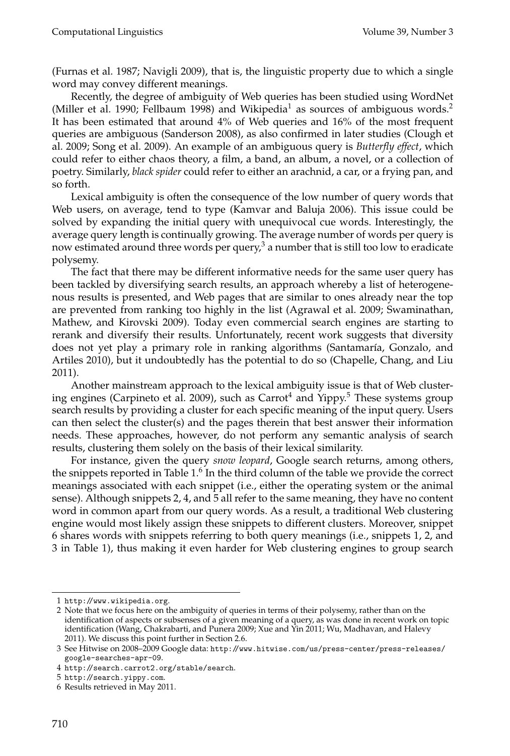(Furnas et al. 1987; Navigli 2009), that is, the linguistic property due to which a single word may convey different meanings.

Recently, the degree of ambiguity of Web queries has been studied using WordNet (Miller et al. 1990; Fellbaum 1998) and Wikipedia<sup>1</sup> as sources of ambiguous words.<sup>2</sup> It has been estimated that around 4% of Web queries and 16% of the most frequent queries are ambiguous (Sanderson 2008), as also confirmed in later studies (Clough et al. 2009; Song et al. 2009). An example of an ambiguous query is *Butterfly effect*, which could refer to either chaos theory, a film, a band, an album, a novel, or a collection of poetry. Similarly, *black spider* could refer to either an arachnid, a car, or a frying pan, and so forth.

Lexical ambiguity is often the consequence of the low number of query words that Web users, on average, tend to type (Kamvar and Baluja 2006). This issue could be solved by expanding the initial query with unequivocal cue words. Interestingly, the average query length is continually growing. The average number of words per query is now estimated around three words per query, $3$  a number that is still too low to eradicate polysemy.

The fact that there may be different informative needs for the same user query has been tackled by diversifying search results, an approach whereby a list of heterogenenous results is presented, and Web pages that are similar to ones already near the top are prevented from ranking too highly in the list (Agrawal et al. 2009; Swaminathan, Mathew, and Kirovski 2009). Today even commercial search engines are starting to rerank and diversify their results. Unfortunately, recent work suggests that diversity does not yet play a primary role in ranking algorithms (Santamaría, Gonzalo, and Artiles 2010), but it undoubtedly has the potential to do so (Chapelle, Chang, and Liu 2011).

Another mainstream approach to the lexical ambiguity issue is that of Web clustering engines (Carpineto et al. 2009), such as  $Carrot<sup>4</sup>$  and Yippy.<sup>5</sup> These systems group search results by providing a cluster for each specific meaning of the input query. Users can then select the cluster(s) and the pages therein that best answer their information needs. These approaches, however, do not perform any semantic analysis of search results, clustering them solely on the basis of their lexical similarity.

For instance, given the query *snow leopard*, Google search returns, among others, the snippets reported in Table  $1<sup>6</sup>$  In the third column of the table we provide the correct meanings associated with each snippet (i.e., either the operating system or the animal sense). Although snippets 2, 4, and 5 all refer to the same meaning, they have no content word in common apart from our query words. As a result, a traditional Web clustering engine would most likely assign these snippets to different clusters. Moreover, snippet 6 shares words with snippets referring to both query meanings (i.e., snippets 1, 2, and 3 in Table 1), thus making it even harder for Web clustering engines to group search

<sup>1</sup> http://www.wikipedia.org.

<sup>2</sup> Note that we focus here on the ambiguity of queries in terms of their polysemy, rather than on the identification of aspects or subsenses of a given meaning of a query, as was done in recent work on topic identification (Wang, Chakrabarti, and Punera 2009; Xue and Yin 2011; Wu, Madhavan, and Halevy 2011). We discuss this point further in Section 2.6.

<sup>3</sup> See Hitwise on 2008–2009 Google data: http://www.hitwise.com/us/press-center/press-releases/ google-searches-apr-09.

<sup>4</sup> http://search.carrot2.org/stable/search.

<sup>5</sup> http://search.yippy.com.

<sup>6</sup> Results retrieved in May 2011.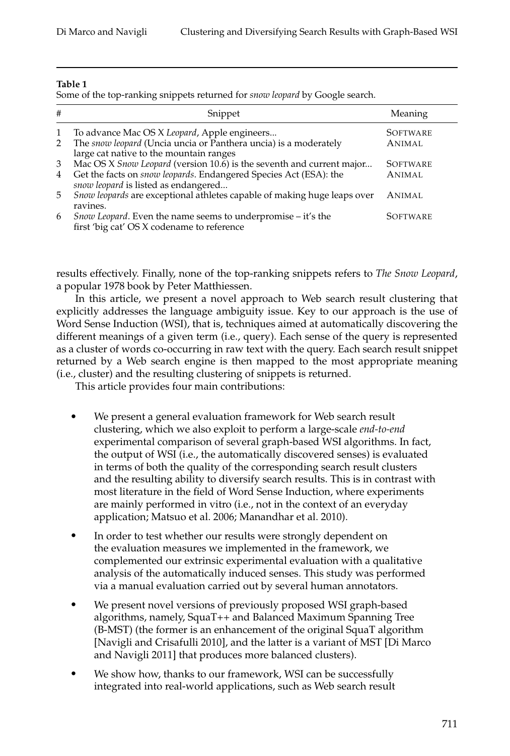Some of the top-ranking snippets returned for *snow leopard* by Google search.

| # | Snippet                                                                  | Meaning         |
|---|--------------------------------------------------------------------------|-----------------|
| 1 | To advance Mac OS X Leopard, Apple engineers                             | <b>SOFTWARE</b> |
| 2 | The snow leopard (Uncia uncia or Panthera uncia) is a moderately         | <b>ANIMAL</b>   |
|   | large cat native to the mountain ranges                                  |                 |
| 3 | Mac OS X Snow Leopard (version 10.6) is the seventh and current major    | <b>SOFTWARE</b> |
| 4 | Get the facts on snow leopards. Endangered Species Act (ESA): the        | ANIMAL          |
|   | snow leopard is listed as endangered                                     |                 |
| 5 | Snow leopards are exceptional athletes capable of making huge leaps over | <b>ANIMAL</b>   |
|   | ravines.                                                                 |                 |
| 6 | <i>Snow Leopard</i> . Even the name seems to underpromise – it's the     | SOFTWARE        |
|   | first 'big cat' OS X codename to reference                               |                 |

results effectively. Finally, none of the top-ranking snippets refers to *The Snow Leopard*, a popular 1978 book by Peter Matthiessen.

In this article, we present a novel approach to Web search result clustering that explicitly addresses the language ambiguity issue. Key to our approach is the use of Word Sense Induction (WSI), that is, techniques aimed at automatically discovering the different meanings of a given term (i.e., query). Each sense of the query is represented as a cluster of words co-occurring in raw text with the query. Each search result snippet returned by a Web search engine is then mapped to the most appropriate meaning (i.e., cluster) and the resulting clustering of snippets is returned.

This article provides four main contributions:

- - We present a general evaluation framework for Web search result clustering, which we also exploit to perform a large-scale *end-to-end* experimental comparison of several graph-based WSI algorithms. In fact, the output of WSI (i.e., the automatically discovered senses) is evaluated in terms of both the quality of the corresponding search result clusters and the resulting ability to diversify search results. This is in contrast with most literature in the field of Word Sense Induction, where experiments are mainly performed in vitro (i.e., not in the context of an everyday application; Matsuo et al. 2006; Manandhar et al. 2010).
- - In order to test whether our results were strongly dependent on the evaluation measures we implemented in the framework, we complemented our extrinsic experimental evaluation with a qualitative analysis of the automatically induced senses. This study was performed via a manual evaluation carried out by several human annotators.
- - We present novel versions of previously proposed WSI graph-based algorithms, namely, SquaT++ and Balanced Maximum Spanning Tree (B-MST) (the former is an enhancement of the original SquaT algorithm [Navigli and Crisafulli 2010], and the latter is a variant of MST [Di Marco and Navigli 2011] that produces more balanced clusters).
- - We show how, thanks to our framework, WSI can be successfully integrated into real-world applications, such as Web search result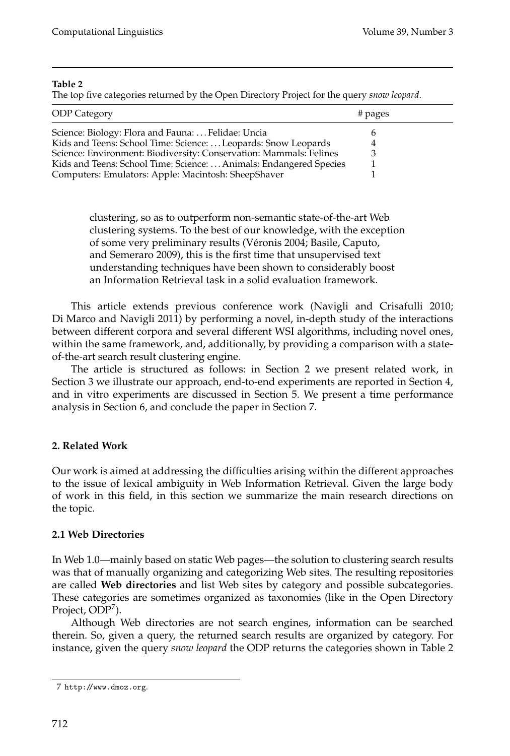The top five categories returned by the Open Directory Project for the query *snow leopard*.

| <b>ODP</b> Category                                                | $#$ pages |
|--------------------------------------------------------------------|-----------|
| Science: Biology: Flora and Fauna:  Felidae: Uncia                 | h         |
| Kids and Teens: School Time: Science:  Leopards: Snow Leopards     | 4         |
| Science: Environment: Biodiversity: Conservation: Mammals: Felines | 3         |
| Kids and Teens: School Time: Science:  Animals: Endangered Species |           |
| Computers: Emulators: Apple: Macintosh: SheepShaver                |           |

clustering, so as to outperform non-semantic state-of-the-art Web clustering systems. To the best of our knowledge, with the exception of some very preliminary results (Véronis 2004; Basile, Caputo, and Semeraro 2009), this is the first time that unsupervised text understanding techniques have been shown to considerably boost an Information Retrieval task in a solid evaluation framework.

This article extends previous conference work (Navigli and Crisafulli 2010; Di Marco and Navigli 2011) by performing a novel, in-depth study of the interactions between different corpora and several different WSI algorithms, including novel ones, within the same framework, and, additionally, by providing a comparison with a stateof-the-art search result clustering engine.

The article is structured as follows: in Section 2 we present related work, in Section 3 we illustrate our approach, end-to-end experiments are reported in Section 4, and in vitro experiments are discussed in Section 5. We present a time performance analysis in Section 6, and conclude the paper in Section 7.

## **2. Related Work**

Our work is aimed at addressing the difficulties arising within the different approaches to the issue of lexical ambiguity in Web Information Retrieval. Given the large body of work in this field, in this section we summarize the main research directions on the topic.

## **2.1 Web Directories**

In Web 1.0—mainly based on static Web pages—the solution to clustering search results was that of manually organizing and categorizing Web sites. The resulting repositories are called **Web directories** and list Web sites by category and possible subcategories. These categories are sometimes organized as taxonomies (like in the Open Directory Project, ODP<sup>7</sup>).

Although Web directories are not search engines, information can be searched therein. So, given a query, the returned search results are organized by category. For instance, given the query *snow leopard* the ODP returns the categories shown in Table 2

<sup>7</sup> http://www.dmoz.org.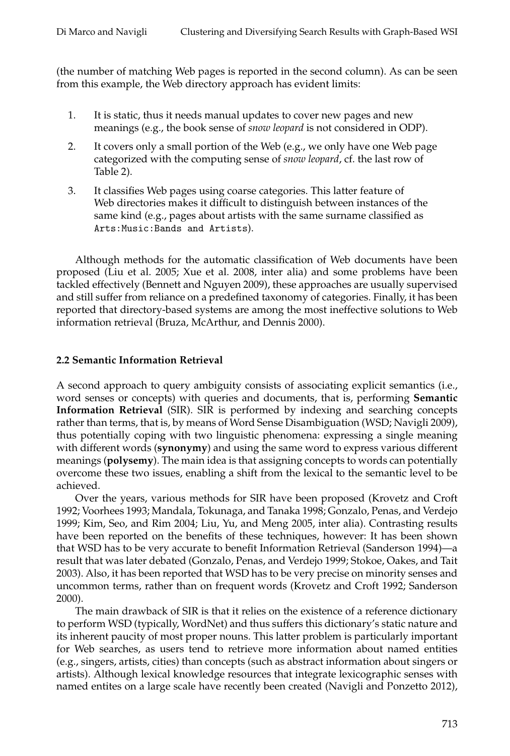(the number of matching Web pages is reported in the second column). As can be seen from this example, the Web directory approach has evident limits:

- 1. It is static, thus it needs manual updates to cover new pages and new meanings (e.g., the book sense of *snow leopard* is not considered in ODP).
- 2. It covers only a small portion of the Web (e.g., we only have one Web page categorized with the computing sense of *snow leopard*, cf. the last row of Table 2).
- 3. It classifies Web pages using coarse categories. This latter feature of Web directories makes it difficult to distinguish between instances of the same kind (e.g., pages about artists with the same surname classified as Arts:Music:Bands and Artists).

Although methods for the automatic classification of Web documents have been proposed (Liu et al. 2005; Xue et al. 2008, inter alia) and some problems have been tackled effectively (Bennett and Nguyen 2009), these approaches are usually supervised and still suffer from reliance on a predefined taxonomy of categories. Finally, it has been reported that directory-based systems are among the most ineffective solutions to Web information retrieval (Bruza, McArthur, and Dennis 2000).

## **2.2 Semantic Information Retrieval**

A second approach to query ambiguity consists of associating explicit semantics (i.e., word senses or concepts) with queries and documents, that is, performing **Semantic Information Retrieval** (SIR). SIR is performed by indexing and searching concepts rather than terms, that is, by means of Word Sense Disambiguation (WSD; Navigli 2009), thus potentially coping with two linguistic phenomena: expressing a single meaning with different words (**synonymy**) and using the same word to express various different meanings (**polysemy**). The main idea is that assigning concepts to words can potentially overcome these two issues, enabling a shift from the lexical to the semantic level to be achieved.

Over the years, various methods for SIR have been proposed (Krovetz and Croft 1992; Voorhees 1993; Mandala, Tokunaga, and Tanaka 1998; Gonzalo, Penas, and Verdejo 1999; Kim, Seo, and Rim 2004; Liu, Yu, and Meng 2005, inter alia). Contrasting results have been reported on the benefits of these techniques, however: It has been shown that WSD has to be very accurate to benefit Information Retrieval (Sanderson 1994)—a result that was later debated (Gonzalo, Penas, and Verdejo 1999; Stokoe, Oakes, and Tait 2003). Also, it has been reported that WSD has to be very precise on minority senses and uncommon terms, rather than on frequent words (Krovetz and Croft 1992; Sanderson 2000).

The main drawback of SIR is that it relies on the existence of a reference dictionary to perform WSD (typically, WordNet) and thus suffers this dictionary's static nature and its inherent paucity of most proper nouns. This latter problem is particularly important for Web searches, as users tend to retrieve more information about named entities (e.g., singers, artists, cities) than concepts (such as abstract information about singers or artists). Although lexical knowledge resources that integrate lexicographic senses with named entites on a large scale have recently been created (Navigli and Ponzetto 2012),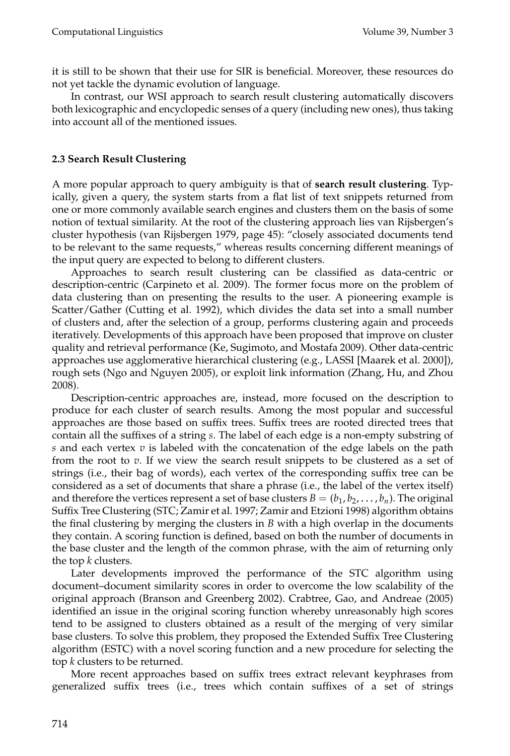it is still to be shown that their use for SIR is beneficial. Moreover, these resources do not yet tackle the dynamic evolution of language.

In contrast, our WSI approach to search result clustering automatically discovers both lexicographic and encyclopedic senses of a query (including new ones), thus taking into account all of the mentioned issues.

## **2.3 Search Result Clustering**

A more popular approach to query ambiguity is that of **search result clustering**. Typically, given a query, the system starts from a flat list of text snippets returned from one or more commonly available search engines and clusters them on the basis of some notion of textual similarity. At the root of the clustering approach lies van Rijsbergen's cluster hypothesis (van Rijsbergen 1979, page 45): "closely associated documents tend to be relevant to the same requests," whereas results concerning different meanings of the input query are expected to belong to different clusters.

Approaches to search result clustering can be classified as data-centric or description-centric (Carpineto et al. 2009). The former focus more on the problem of data clustering than on presenting the results to the user. A pioneering example is Scatter/Gather (Cutting et al. 1992), which divides the data set into a small number of clusters and, after the selection of a group, performs clustering again and proceeds iteratively. Developments of this approach have been proposed that improve on cluster quality and retrieval performance (Ke, Sugimoto, and Mostafa 2009). Other data-centric approaches use agglomerative hierarchical clustering (e.g., LASSI [Maarek et al. 2000]), rough sets (Ngo and Nguyen 2005), or exploit link information (Zhang, Hu, and Zhou 2008).

Description-centric approaches are, instead, more focused on the description to produce for each cluster of search results. Among the most popular and successful approaches are those based on suffix trees. Suffix trees are rooted directed trees that contain all the suffixes of a string *s*. The label of each edge is a non-empty substring of *s* and each vertex *v* is labeled with the concatenation of the edge labels on the path from the root to *v*. If we view the search result snippets to be clustered as a set of strings (i.e., their bag of words), each vertex of the corresponding suffix tree can be considered as a set of documents that share a phrase (i.e., the label of the vertex itself) and therefore the vertices represent a set of base clusters  $B = (b_1, b_2, \ldots, b_n)$ . The original Suffix Tree Clustering (STC; Zamir et al. 1997; Zamir and Etzioni 1998) algorithm obtains the final clustering by merging the clusters in *B* with a high overlap in the documents they contain. A scoring function is defined, based on both the number of documents in the base cluster and the length of the common phrase, with the aim of returning only the top *k* clusters.

Later developments improved the performance of the STC algorithm using document–document similarity scores in order to overcome the low scalability of the original approach (Branson and Greenberg 2002). Crabtree, Gao, and Andreae (2005) identified an issue in the original scoring function whereby unreasonably high scores tend to be assigned to clusters obtained as a result of the merging of very similar base clusters. To solve this problem, they proposed the Extended Suffix Tree Clustering algorithm (ESTC) with a novel scoring function and a new procedure for selecting the top *k* clusters to be returned.

More recent approaches based on suffix trees extract relevant keyphrases from generalized suffix trees (i.e., trees which contain suffixes of a set of strings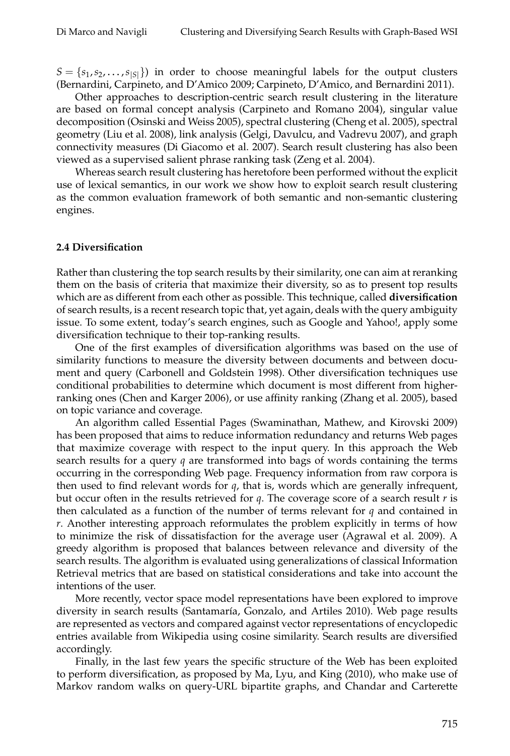$S = \{s_1, s_2, \ldots, s_{|S|}\}\$  in order to choose meaningful labels for the output clusters (Bernardini, Carpineto, and D'Amico 2009; Carpineto, D'Amico, and Bernardini 2011).

Other approaches to description-centric search result clustering in the literature are based on formal concept analysis (Carpineto and Romano 2004), singular value decomposition (Osinski and Weiss 2005), spectral clustering (Cheng et al. 2005), spectral geometry (Liu et al. 2008), link analysis (Gelgi, Davulcu, and Vadrevu 2007), and graph connectivity measures (Di Giacomo et al. 2007). Search result clustering has also been viewed as a supervised salient phrase ranking task (Zeng et al. 2004).

Whereas search result clustering has heretofore been performed without the explicit use of lexical semantics, in our work we show how to exploit search result clustering as the common evaluation framework of both semantic and non-semantic clustering engines.

## **2.4 Diversification**

Rather than clustering the top search results by their similarity, one can aim at reranking them on the basis of criteria that maximize their diversity, so as to present top results which are as different from each other as possible. This technique, called **diversification** of search results, is a recent research topic that, yet again, deals with the query ambiguity issue. To some extent, today's search engines, such as Google and Yahoo!, apply some diversification technique to their top-ranking results.

One of the first examples of diversification algorithms was based on the use of similarity functions to measure the diversity between documents and between document and query (Carbonell and Goldstein 1998). Other diversification techniques use conditional probabilities to determine which document is most different from higherranking ones (Chen and Karger 2006), or use affinity ranking (Zhang et al. 2005), based on topic variance and coverage.

An algorithm called Essential Pages (Swaminathan, Mathew, and Kirovski 2009) has been proposed that aims to reduce information redundancy and returns Web pages that maximize coverage with respect to the input query. In this approach the Web search results for a query *q* are transformed into bags of words containing the terms occurring in the corresponding Web page. Frequency information from raw corpora is then used to find relevant words for *q*, that is, words which are generally infrequent, but occur often in the results retrieved for *q*. The coverage score of a search result *r* is then calculated as a function of the number of terms relevant for *q* and contained in *r*. Another interesting approach reformulates the problem explicitly in terms of how to minimize the risk of dissatisfaction for the average user (Agrawal et al. 2009). A greedy algorithm is proposed that balances between relevance and diversity of the search results. The algorithm is evaluated using generalizations of classical Information Retrieval metrics that are based on statistical considerations and take into account the intentions of the user.

More recently, vector space model representations have been explored to improve diversity in search results (Santamaría, Gonzalo, and Artiles 2010). Web page results are represented as vectors and compared against vector representations of encyclopedic entries available from Wikipedia using cosine similarity. Search results are diversified accordingly.

Finally, in the last few years the specific structure of the Web has been exploited to perform diversification, as proposed by Ma, Lyu, and King (2010), who make use of Markov random walks on query-URL bipartite graphs, and Chandar and Carterette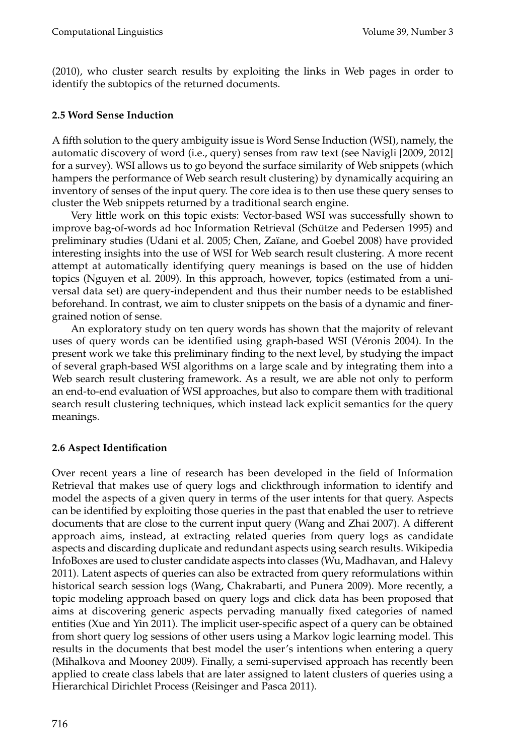(2010), who cluster search results by exploiting the links in Web pages in order to identify the subtopics of the returned documents.

## **2.5 Word Sense Induction**

A fifth solution to the query ambiguity issue is Word Sense Induction (WSI), namely, the automatic discovery of word (i.e., query) senses from raw text (see Navigli [2009, 2012] for a survey). WSI allows us to go beyond the surface similarity of Web snippets (which hampers the performance of Web search result clustering) by dynamically acquiring an inventory of senses of the input query. The core idea is to then use these query senses to cluster the Web snippets returned by a traditional search engine.

Very little work on this topic exists: Vector-based WSI was successfully shown to improve bag-of-words ad hoc Information Retrieval (Schütze and Pedersen 1995) and preliminary studies (Udani et al. 2005; Chen, Za¨ıane, and Goebel 2008) have provided interesting insights into the use of WSI for Web search result clustering. A more recent attempt at automatically identifying query meanings is based on the use of hidden topics (Nguyen et al. 2009). In this approach, however, topics (estimated from a universal data set) are query-independent and thus their number needs to be established beforehand. In contrast, we aim to cluster snippets on the basis of a dynamic and finergrained notion of sense.

An exploratory study on ten query words has shown that the majority of relevant uses of query words can be identified using graph-based WSI (Véronis 2004). In the present work we take this preliminary finding to the next level, by studying the impact of several graph-based WSI algorithms on a large scale and by integrating them into a Web search result clustering framework. As a result, we are able not only to perform an end-to-end evaluation of WSI approaches, but also to compare them with traditional search result clustering techniques, which instead lack explicit semantics for the query meanings.

## **2.6 Aspect Identification**

Over recent years a line of research has been developed in the field of Information Retrieval that makes use of query logs and clickthrough information to identify and model the aspects of a given query in terms of the user intents for that query. Aspects can be identified by exploiting those queries in the past that enabled the user to retrieve documents that are close to the current input query (Wang and Zhai 2007). A different approach aims, instead, at extracting related queries from query logs as candidate aspects and discarding duplicate and redundant aspects using search results. Wikipedia InfoBoxes are used to cluster candidate aspects into classes (Wu, Madhavan, and Halevy 2011). Latent aspects of queries can also be extracted from query reformulations within historical search session logs (Wang, Chakrabarti, and Punera 2009). More recently, a topic modeling approach based on query logs and click data has been proposed that aims at discovering generic aspects pervading manually fixed categories of named entities (Xue and Yin 2011). The implicit user-specific aspect of a query can be obtained from short query log sessions of other users using a Markov logic learning model. This results in the documents that best model the user's intentions when entering a query (Mihalkova and Mooney 2009). Finally, a semi-supervised approach has recently been applied to create class labels that are later assigned to latent clusters of queries using a Hierarchical Dirichlet Process (Reisinger and Pasca 2011).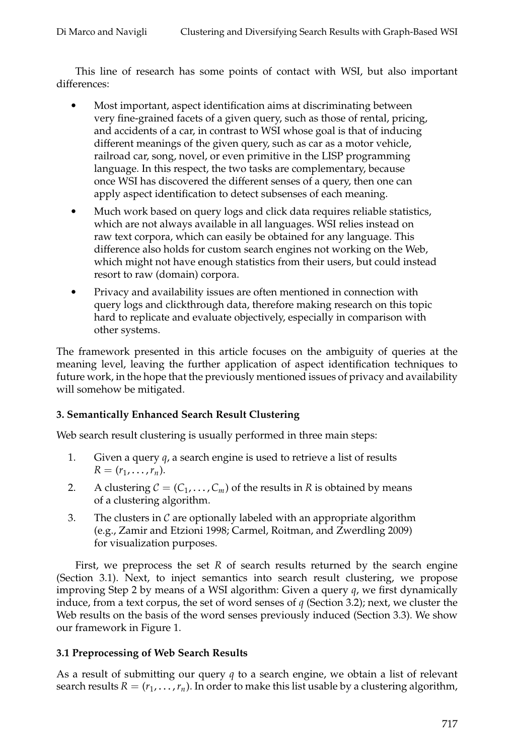This line of research has some points of contact with WSI, but also important differences:

- $\bullet$  Most important, aspect identification aims at discriminating between very fine-grained facets of a given query, such as those of rental, pricing, and accidents of a car, in contrast to WSI whose goal is that of inducing different meanings of the given query, such as car as a motor vehicle, railroad car, song, novel, or even primitive in the LISP programming language. In this respect, the two tasks are complementary, because once WSI has discovered the different senses of a query, then one can apply aspect identification to detect subsenses of each meaning.
- $\bullet$  Much work based on query logs and click data requires reliable statistics, which are not always available in all languages. WSI relies instead on raw text corpora, which can easily be obtained for any language. This difference also holds for custom search engines not working on the Web, which might not have enough statistics from their users, but could instead resort to raw (domain) corpora.
- - Privacy and availability issues are often mentioned in connection with query logs and clickthrough data, therefore making research on this topic hard to replicate and evaluate objectively, especially in comparison with other systems.

The framework presented in this article focuses on the ambiguity of queries at the meaning level, leaving the further application of aspect identification techniques to future work, in the hope that the previously mentioned issues of privacy and availability will somehow be mitigated.

## **3. Semantically Enhanced Search Result Clustering**

Web search result clustering is usually performed in three main steps:

- 1. Given a query *q*, a search engine is used to retrieve a list of results  $R = (r_1, \ldots, r_n).$
- 2. A clustering  $C = (C_1, \ldots, C_m)$  of the results in *R* is obtained by means of a clustering algorithm.
- 3. The clusters in  $\mathcal C$  are optionally labeled with an appropriate algorithm (e.g., Zamir and Etzioni 1998; Carmel, Roitman, and Zwerdling 2009) for visualization purposes.

First, we preprocess the set *R* of search results returned by the search engine (Section 3.1). Next, to inject semantics into search result clustering, we propose improving Step 2 by means of a WSI algorithm: Given a query *q*, we first dynamically induce, from a text corpus, the set of word senses of *q* (Section 3.2); next, we cluster the Web results on the basis of the word senses previously induced (Section 3.3). We show our framework in Figure 1.

## **3.1 Preprocessing of Web Search Results**

As a result of submitting our query *q* to a search engine, we obtain a list of relevant search results  $R = (r_1, \ldots, r_n)$ . In order to make this list usable by a clustering algorithm,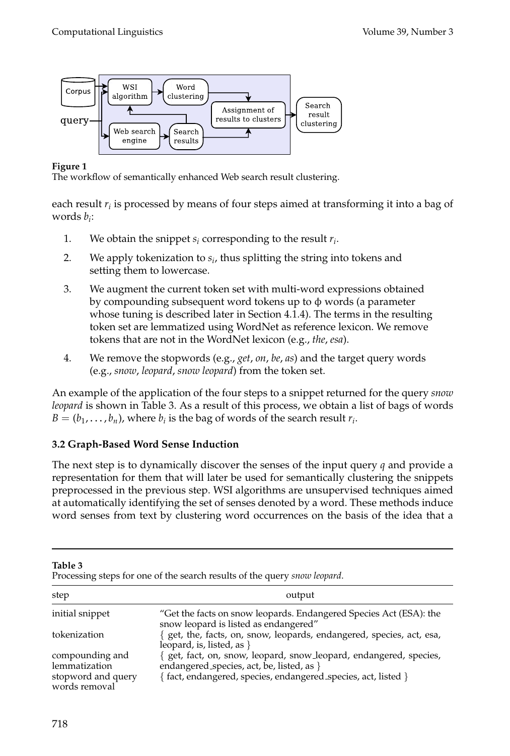

## **Figure 1**

The workflow of semantically enhanced Web search result clustering.

each result *ri* is processed by means of four steps aimed at transforming it into a bag of words *bi*:

- 1. We obtain the snippet  $s_i$  corresponding to the result  $r_i$ .
- 2. We apply tokenization to *si*, thus splitting the string into tokens and setting them to lowercase.
- 3. We augment the current token set with multi-word expressions obtained by compounding subsequent word tokens up to φ words (a parameter whose tuning is described later in Section 4.1.4). The terms in the resulting token set are lemmatized using WordNet as reference lexicon. We remove tokens that are not in the WordNet lexicon (e.g., *the*, *esa*).
- 4. We remove the stopwords (e.g., *get*, *on*, *be*, *as*) and the target query words (e.g., *snow*, *leopard*, *snow leopard*) from the token set.

An example of the application of the four steps to a snippet returned for the query *snow leopard* is shown in Table 3. As a result of this process, we obtain a list of bags of words  $B = (b_1, \ldots, b_n)$ , where  $b_i$  is the bag of words of the search result  $r_i$ .

## **3.2 Graph-Based Word Sense Induction**

The next step is to dynamically discover the senses of the input query *q* and provide a representation for them that will later be used for semantically clustering the snippets preprocessed in the previous step. WSI algorithms are unsupervised techniques aimed at automatically identifying the set of senses denoted by a word. These methods induce word senses from text by clustering word occurrences on the basis of the idea that a

Processing steps for one of the search results of the query *snow leopard*.

| step                                | output                                                                                                      |
|-------------------------------------|-------------------------------------------------------------------------------------------------------------|
| initial snippet                     | "Get the facts on snow leopards. Endangered Species Act (ESA): the<br>snow leopard is listed as endangered" |
| tokenization                        | [get, the, facts, on, snow, leopards, endangered, species, act, esa,<br>leopard, is, listed, as $\}$        |
| compounding and                     | [get, fact, on, snow, leopard, snow_leopard, endangered, species,                                           |
| lemmatization                       | endangered_species, act, be, listed, as }                                                                   |
| stopword and query<br>words removal | { fact, endangered, species, endangered_species, act, listed }                                              |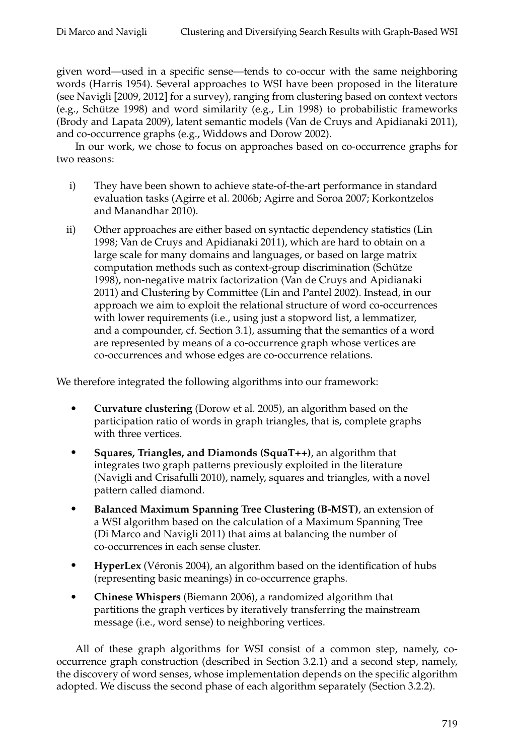given word—used in a specific sense—tends to co-occur with the same neighboring words (Harris 1954). Several approaches to WSI have been proposed in the literature (see Navigli [2009, 2012] for a survey), ranging from clustering based on context vectors (e.g., Schütze 1998) and word similarity (e.g., Lin 1998) to probabilistic frameworks (Brody and Lapata 2009), latent semantic models (Van de Cruys and Apidianaki 2011), and co-occurrence graphs (e.g., Widdows and Dorow 2002).

In our work, we chose to focus on approaches based on co-occurrence graphs for two reasons:

- i) They have been shown to achieve state-of-the-art performance in standard evaluation tasks (Agirre et al. 2006b; Agirre and Soroa 2007; Korkontzelos and Manandhar 2010).
- ii) Other approaches are either based on syntactic dependency statistics (Lin 1998; Van de Cruys and Apidianaki 2011), which are hard to obtain on a large scale for many domains and languages, or based on large matrix computation methods such as context-group discrimination (Schütze 1998), non-negative matrix factorization (Van de Cruys and Apidianaki 2011) and Clustering by Committee (Lin and Pantel 2002). Instead, in our approach we aim to exploit the relational structure of word co-occurrences with lower requirements (i.e., using just a stopword list, a lemmatizer, and a compounder, cf. Section 3.1), assuming that the semantics of a word are represented by means of a co-occurrence graph whose vertices are co-occurrences and whose edges are co-occurrence relations.

We therefore integrated the following algorithms into our framework:

- $\bullet$  **Curvature clustering** (Dorow et al. 2005), an algorithm based on the participation ratio of words in graph triangles, that is, complete graphs with three vertices.
- $\bullet$  **Squares, Triangles, and Diamonds (SquaT++)**, an algorithm that integrates two graph patterns previously exploited in the literature (Navigli and Crisafulli 2010), namely, squares and triangles, with a novel pattern called diamond.
- $\bullet$  **Balanced Maximum Spanning Tree Clustering (B-MST)**, an extension of a WSI algorithm based on the calculation of a Maximum Spanning Tree (Di Marco and Navigli 2011) that aims at balancing the number of co-occurrences in each sense cluster.
- -**HyperLex** (Véronis 2004), an algorithm based on the identification of hubs (representing basic meanings) in co-occurrence graphs.
- $\bullet$  **Chinese Whispers** (Biemann 2006), a randomized algorithm that partitions the graph vertices by iteratively transferring the mainstream message (i.e., word sense) to neighboring vertices.

All of these graph algorithms for WSI consist of a common step, namely, cooccurrence graph construction (described in Section 3.2.1) and a second step, namely, the discovery of word senses, whose implementation depends on the specific algorithm adopted. We discuss the second phase of each algorithm separately (Section 3.2.2).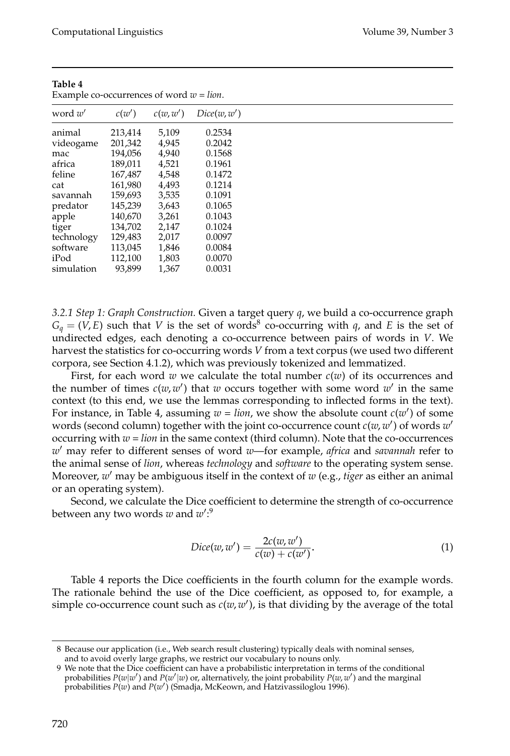| word $w'$  | c(w')   | c(w, w') | Dice(w, w') |
|------------|---------|----------|-------------|
| animal     | 213,414 | 5,109    | 0.2534      |
| videogame  | 201,342 | 4,945    | 0.2042      |
| mac        | 194,056 | 4,940    | 0.1568      |
| africa     | 189.011 | 4,521    | 0.1961      |
| feline     | 167.487 | 4,548    | 0.1472      |
| cat        | 161,980 | 4,493    | 0.1214      |
| savannah   | 159.693 | 3,535    | 0.1091      |
| predator   | 145.239 | 3,643    | 0.1065      |
| apple      | 140,670 | 3,261    | 0.1043      |
| tiger      | 134,702 | 2,147    | 0.1024      |
| technology | 129.483 | 2,017    | 0.0097      |
| software   | 113.045 | 1.846    | 0.0084      |
| iPod       | 112,100 | 1,803    | 0.0070      |
| simulation | 93.899  | 1,367    | 0.0031      |

| Table 4                                     |  |
|---------------------------------------------|--|
| Example co-occurrences of word $w = lion$ . |  |

*3.2.1 Step 1: Graph Construction.* Given a target query *q*, we build a co-occurrence graph  $G_q = (V, E)$  such that *V* is the set of words<sup>8</sup> co-occurring with *q*, and *E* is the set of undirected edges, each denoting a co-occurrence between pairs of words in *V*. We harvest the statistics for co-occurring words *V* from a text corpus (we used two different corpora, see Section 4.1.2), which was previously tokenized and lemmatized.

First, for each word *w* we calculate the total number *c*(*w*) of its occurrences and the number of times  $c(w, w')$  that *w* occurs together with some word  $w'$  in the same context (to this end, we use the lemmas corresponding to inflected forms in the text). For instance, in Table 4, assuming  $w = lion$ , we show the absolute count  $c(w')$  of some words (second column) together with the joint co-occurrence count  $c(w, w')$  of words  $w'$ occurring with  $w =$  *lion* in the same context (third column). Note that the co-occurrences *w*- may refer to different senses of word *w*—for example, *africa* and *savannah* refer to the animal sense of *lion*, whereas *technology* and *software* to the operating system sense. Moreover, *w*- may be ambiguous itself in the context of *w* (e.g., *tiger* as either an animal or an operating system).

Second, we calculate the Dice coefficient to determine the strength of co-occurrence between any two words  $w$  and  $w'^{.9}$ 

$$
Dice(w, w') = \frac{2c(w, w')}{c(w) + c(w')}.
$$
\n(1)

Table 4 reports the Dice coefficients in the fourth column for the example words. The rationale behind the use of the Dice coefficient, as opposed to, for example, a simple co-occurrence count such as  $c(w, w')$ , is that dividing by the average of the total

<sup>8</sup> Because our application (i.e., Web search result clustering) typically deals with nominal senses, and to avoid overly large graphs, we restrict our vocabulary to nouns only.

<sup>9</sup> We note that the Dice coefficient can have a probabilistic interpretation in terms of the conditional probabilities  $P(w|w')$  and  $P(w'|w)$  or, alternatively, the joint probability  $P(w,w')$  and the marginal probabilities *P*(*w*) and *P*(*w*- ) (Smadja, McKeown, and Hatzivassiloglou 1996).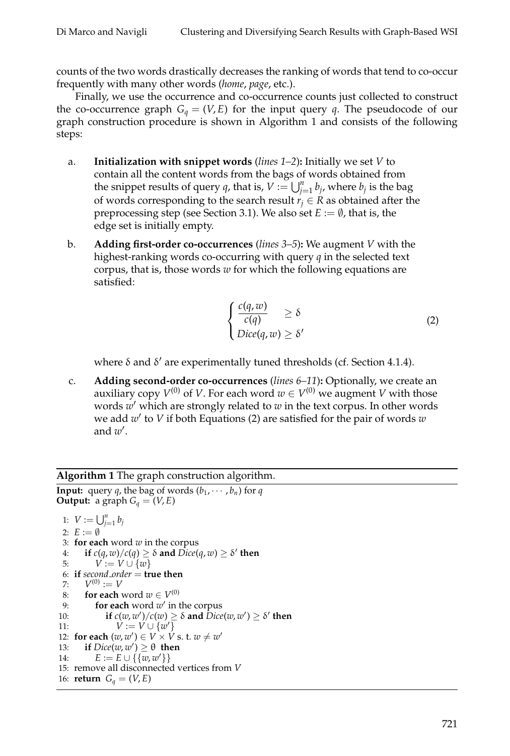counts of the two words drastically decreases the ranking of words that tend to co-occur frequently with many other words (*home*, *page*, etc.).

Finally, we use the occurrence and co-occurrence counts just collected to construct the co-occurrence graph  $G_q = (V, E)$  for the input query q. The pseudocode of our graph construction procedure is shown in Algorithm 1 and consists of the following steps:

- a. **Initialization with snippet words** (*lines 1–2*)**:** Initially we set *V* to contain all the content words from the bags of words obtained from the snippet results of query *q*, that is,  $V := \bigcup_{j=1}^{n} b_j$ , where  $b_j$  is the bag of words corresponding to the search result  $r_i \in R$  as obtained after the preprocessing step (see Section 3.1). We also set  $E := \emptyset$ , that is, the edge set is initially empty.
- b. **Adding first-order co-occurrences** (*lines 3–5*)**:** We augment *V* with the highest-ranking words co-occurring with query *q* in the selected text corpus, that is, those words *w* for which the following equations are satisfied:

$$
\begin{cases}\n\frac{c(q, w)}{c(q)} \ge \delta \\
\text{Dice}(q, w) \ge \delta'\n\end{cases}
$$
\n(2)

where  $\delta$  and  $\delta'$  are experimentally tuned thresholds (cf. Section 4.1.4).

c. **Adding second-order co-occurrences** (*lines 6–11*)**:** Optionally, we create an auxiliary copy  $V^{(0)}$  of *V*. For each word  $w \in V^{(0)}$  we augment *V* with those words w' which are strongly related to w in the text corpus. In other words we add  $w'$  to *V* if both Equations (2) are satisfied for the pair of words  $w$ and  $w'$ .

## **Algorithm 1** The graph construction algorithm.

```
Input: query q, the bag of words (b_1, \dots, b_n) for q
Output: a graph G_q = (V, E)1: V := \bigcup_{j=1}^{n} b_j2: E := \emptyset3: for each word w in the corpus
  4: if c(q, w) / c(q) \ge \delta and \overline{Dice}(q, w) \ge \delta' then
 5: V := V \cup \{w\}6: if second order = true then
 7: V^{(0)} := V8: for each word w \in V^{(0)}9: for each word w' in the corpus
10: if c(w, w') / c(w) \ge \delta and \overline{Dice}(w, w') \ge \delta' then
11: V := V \cup \{w'\}12: for each (w, w') \in V \times V s. t. w \neq w'13: if Dice(w, w') \geq \theta then
14: E := E \cup \{\{w, w'\}\}\15: remove all disconnected vertices from V
16: return G_q = (V, E)
```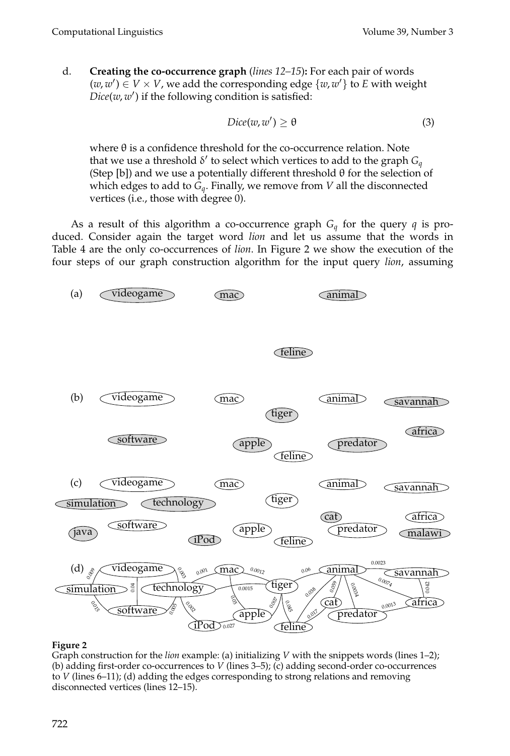d. **Creating the co-occurrence graph** (*lines 12–15*)**:** For each pair of words  $(w, w') \in V \times V$ , we add the corresponding edge  $\{w, w'\}$  to *E* with weight  $Dice(w, w')$  if the following condition is satisfied:

$$
Dice(w, w') \ge \theta \tag{3}
$$

where  $\theta$  is a confidence threshold for the co-occurrence relation. Note that we use a threshold  $\delta'$  to select which vertices to add to the graph  $G_q$ (Step [b]) and we use a potentially different threshold  $\theta$  for the selection of which edges to add to  $\hat{G}_q$ . Finally, we remove from *V* all the disconnected vertices (i.e., those with degree 0).

As a result of this algorithm a co-occurrence graph  $G_q$  for the query  $q$  is produced. Consider again the target word *lion* and let us assume that the words in Table 4 are the only co-occurrences of *lion*. In Figure 2 we show the execution of the four steps of our graph construction algorithm for the input query *lion*, assuming



## **Figure 2**

Graph construction for the *lion* example: (a) initializing *V* with the snippets words (lines 1–2); (b) adding first-order co-occurrences to *V* (lines 3–5); (c) adding second-order co-occurrences to *V* (lines 6–11); (d) adding the edges corresponding to strong relations and removing disconnected vertices (lines 12–15).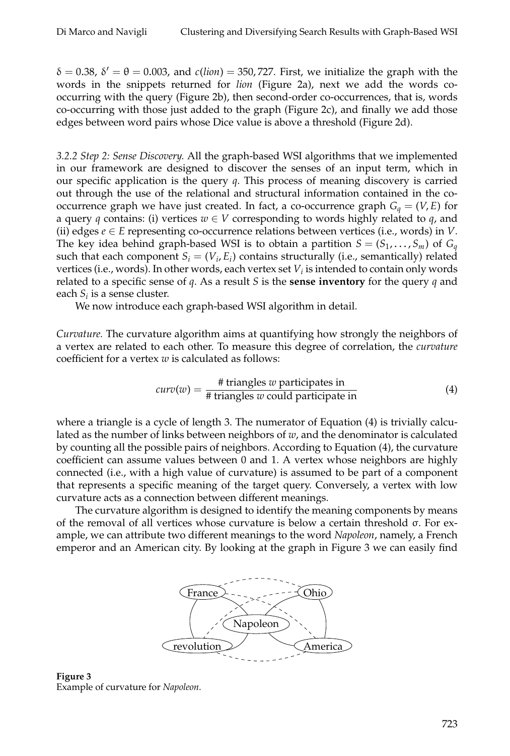$\delta = 0.38$ ,  $\delta' = \theta = 0.003$ , and  $c(lion) = 350,727$ . First, we initialize the graph with the words in the snippets returned for *lion* (Figure 2a), next we add the words cooccurring with the query (Figure 2b), then second-order co-occurrences, that is, words co-occurring with those just added to the graph (Figure 2c), and finally we add those edges between word pairs whose Dice value is above a threshold (Figure 2d).

*3.2.2 Step 2: Sense Discovery.* All the graph-based WSI algorithms that we implemented in our framework are designed to discover the senses of an input term, which in our specific application is the query *q*. This process of meaning discovery is carried out through the use of the relational and structural information contained in the cooccurrence graph we have just created. In fact, a co-occurrence graph  $G_q = (V, E)$  for a query *q* contains: (i) vertices  $w \in V$  corresponding to words highly related to *q*, and (ii) edges  $e \in E$  representing co-occurrence relations between vertices (i.e., words) in *V*. The key idea behind graph-based WSI is to obtain a partition  $S = (S_1, \ldots, S_m)$  of  $G_q$ such that each component  $S_i = (V_i, E_i)$  contains structurally (i.e., semantically) related vertices (i.e., words). In other words, each vertex set *Vi* is intended to contain only words related to a specific sense of *q*. As a result *S* is the **sense inventory** for the query *q* and each  $S_i$  is a sense cluster.

We now introduce each graph-based WSI algorithm in detail.

*Curvature.* The curvature algorithm aims at quantifying how strongly the neighbors of a vertex are related to each other. To measure this degree of correlation, the *curvature* coefficient for a vertex *w* is calculated as follows:

$$
curv(w) = \frac{\text{# triangles } w \text{ participates in}}{\text{# triangles } w \text{ could participate in}} \tag{4}
$$

where a triangle is a cycle of length 3. The numerator of Equation (4) is trivially calculated as the number of links between neighbors of *w*, and the denominator is calculated by counting all the possible pairs of neighbors. According to Equation (4), the curvature coefficient can assume values between 0 and 1. A vertex whose neighbors are highly connected (i.e., with a high value of curvature) is assumed to be part of a component that represents a specific meaning of the target query. Conversely, a vertex with low curvature acts as a connection between different meanings.

The curvature algorithm is designed to identify the meaning components by means of the removal of all vertices whose curvature is below a certain threshold σ. For example, we can attribute two different meanings to the word *Napoleon*, namely, a French emperor and an American city. By looking at the graph in Figure 3 we can easily find



**Figure 3** Example of curvature for *Napoleon*.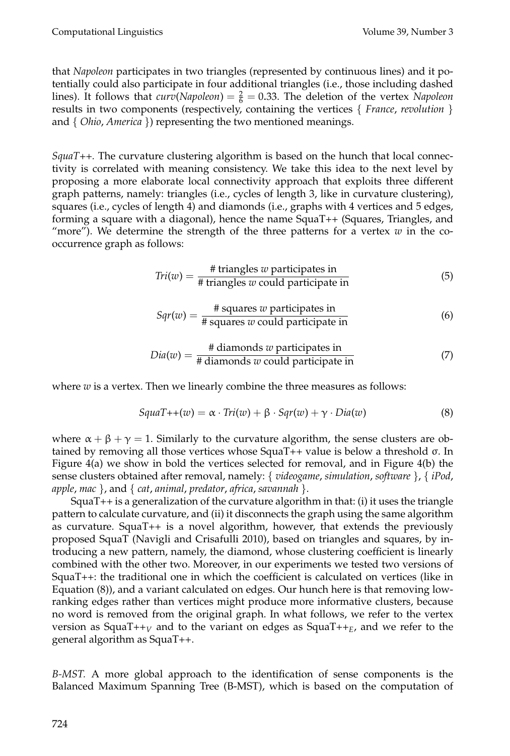that *Napoleon* participates in two triangles (represented by continuous lines) and it potentially could also participate in four additional triangles (i.e., those including dashed lines). It follows that  $curv(Napoleon) = \frac{2}{6} = 0.33$ . The deletion of the vertex *Napoleon* results in two components (respectively, containing the vertices { *France*, *revolution* } and { *Ohio*, *America* }) representing the two mentioned meanings.

*SquaT++.* The curvature clustering algorithm is based on the hunch that local connectivity is correlated with meaning consistency. We take this idea to the next level by proposing a more elaborate local connectivity approach that exploits three different graph patterns, namely: triangles (i.e., cycles of length 3, like in curvature clustering), squares (i.e., cycles of length 4) and diamonds (i.e., graphs with 4 vertices and 5 edges, forming a square with a diagonal), hence the name SquaT++ (Squares, Triangles, and "more"). We determine the strength of the three patterns for a vertex  $w$  in the cooccurrence graph as follows:

$$
Tri(w) = \frac{\# \text{ triangles } w \text{ particles in}}{\# \text{ triangles } w \text{ could participate in}} \tag{5}
$$

$$
Sqr(w) = \frac{\text{# squares } w \text{ particles in}}{\text{# squares } w \text{ could participate in}}
$$
 (6)

$$
Dia(w) = \frac{\# \text{ diamonds } w \text{ particles in}}{\# \text{diamond } w \text{ could participate in}} \tag{7}
$$

where *w* is a vertex. Then we linearly combine the three measures as follows:

$$
Square + (w) = \alpha \cdot Tri(w) + \beta \cdot Sqr(w) + \gamma \cdot Dia(w)
$$
\n(8)

where  $\alpha + \beta + \gamma = 1$ . Similarly to the curvature algorithm, the sense clusters are obtained by removing all those vertices whose  $SquaT++$  value is below a threshold σ. In Figure 4(a) we show in bold the vertices selected for removal, and in Figure 4(b) the sense clusters obtained after removal, namely: { *videogame*, *simulation*, *software* }, { *iPod*, *apple*, *mac* }, and { *cat*, *animal*, *predator*, *africa*, *savannah* }.

SquaT++ is a generalization of the curvature algorithm in that: (i) it uses the triangle pattern to calculate curvature, and (ii) it disconnects the graph using the same algorithm as curvature. SquaT++ is a novel algorithm, however, that extends the previously proposed SquaT (Navigli and Crisafulli 2010), based on triangles and squares, by introducing a new pattern, namely, the diamond, whose clustering coefficient is linearly combined with the other two. Moreover, in our experiments we tested two versions of SquaT++: the traditional one in which the coefficient is calculated on vertices (like in Equation (8)), and a variant calculated on edges. Our hunch here is that removing lowranking edges rather than vertices might produce more informative clusters, because no word is removed from the original graph. In what follows, we refer to the vertex version as SquaT++ $_V$  and to the variant on edges as SquaT++ $_E$ , and we refer to the general algorithm as SquaT++.

*B-MST.* A more global approach to the identification of sense components is the Balanced Maximum Spanning Tree (B-MST), which is based on the computation of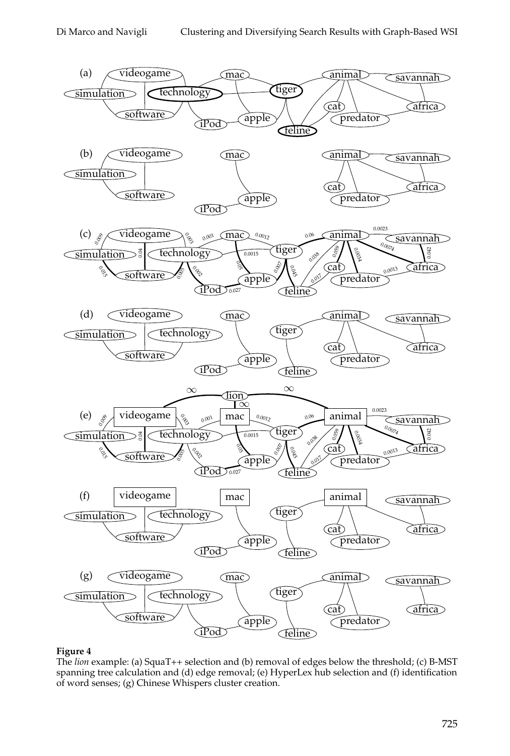

## **Figure 4**

The *lion* example: (a) SquaT++ selection and (b) removal of edges below the threshold; (c) B-MST spanning tree calculation and (d) edge removal; (e) HyperLex hub selection and (f) identification of word senses; (g) Chinese Whispers cluster creation.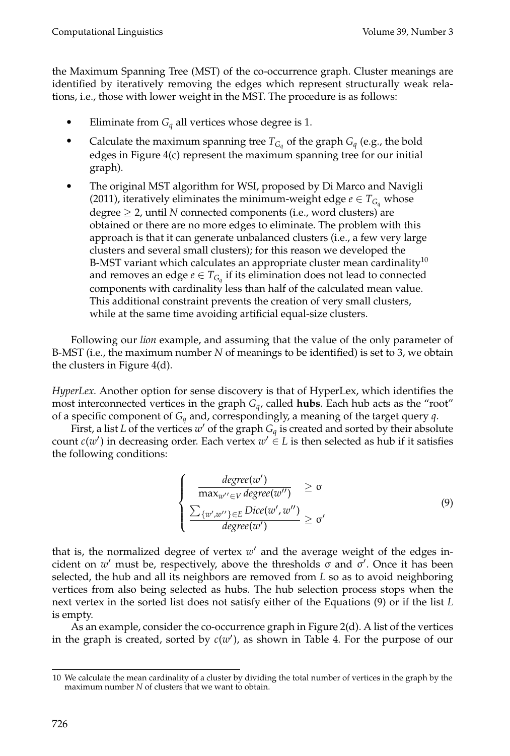the Maximum Spanning Tree (MST) of the co-occurrence graph. Cluster meanings are identified by iteratively removing the edges which represent structurally weak relations, i.e., those with lower weight in the MST. The procedure is as follows:

- -Eliminate from  $G_q$  all vertices whose degree is 1.
- $\bullet$ Calculate the maximum spanning tree  $T_{G_q}$  of the graph  $G_q$  (e.g., the bold edges in Figure 4(c) represent the maximum spanning tree for our initial graph).
- - The original MST algorithm for WSI, proposed by Di Marco and Navigli (2011), iteratively eliminates the minimum-weight edge  $e \in T_{G_a}$  whose degree  $\geq$  2, until *N* connected components (i.e., word clusters) are obtained or there are no more edges to eliminate. The problem with this approach is that it can generate unbalanced clusters (i.e., a few very large clusters and several small clusters); for this reason we developed the B-MST variant which calculates an appropriate cluster mean cardinality $10$ and removes an edge  $e \in T_{G_q}$  if its elimination does not lead to connected components with cardinality less than half of the calculated mean value. This additional constraint prevents the creation of very small clusters, while at the same time avoiding artificial equal-size clusters.

Following our *lion* example, and assuming that the value of the only parameter of B-MST (i.e., the maximum number *N* of meanings to be identified) is set to 3, we obtain the clusters in Figure 4(d).

*HyperLex.* Another option for sense discovery is that of HyperLex, which identifies the most interconnected vertices in the graph *Gq*, called **hubs**. Each hub acts as the "root" of a specific component of *Gq* and, correspondingly, a meaning of the target query *q*.

First, a list *L* of the vertices  $w'$  of the graph  $G_q$  is created and sorted by their absolute count  $c(w')$  in decreasing order. Each vertex  $w' \in L$  is then selected as hub if it satisfies the following conditions:

$$
\begin{cases}\n\frac{degree(w')}{\max_{w'' \in V} degree(w'')} \ge \sigma \\
\frac{\sum_{\{w',w''\} \in E} Dice(w',w'')}{degree(w')} \ge \sigma' \\
\frac{\sum_{\{w',w''\} \in E} Dice(w',w'')}{degree(w')} \ge \sigma'\n\end{cases}
$$
\n(9)

that is, the normalized degree of vertex  $w'$  and the average weight of the edges incident on  $w'$  must be, respectively, above the thresholds  $\sigma$  and  $\sigma'$ . Once it has been selected, the hub and all its neighbors are removed from *L* so as to avoid neighboring vertices from also being selected as hubs. The hub selection process stops when the next vertex in the sorted list does not satisfy either of the Equations (9) or if the list *L* is empty.

As an example, consider the co-occurrence graph in Figure 2(d). A list of the vertices in the graph is created, sorted by  $c(w')$ , as shown in Table 4. For the purpose of our

<sup>10</sup> We calculate the mean cardinality of a cluster by dividing the total number of vertices in the graph by the maximum number *N* of clusters that we want to obtain.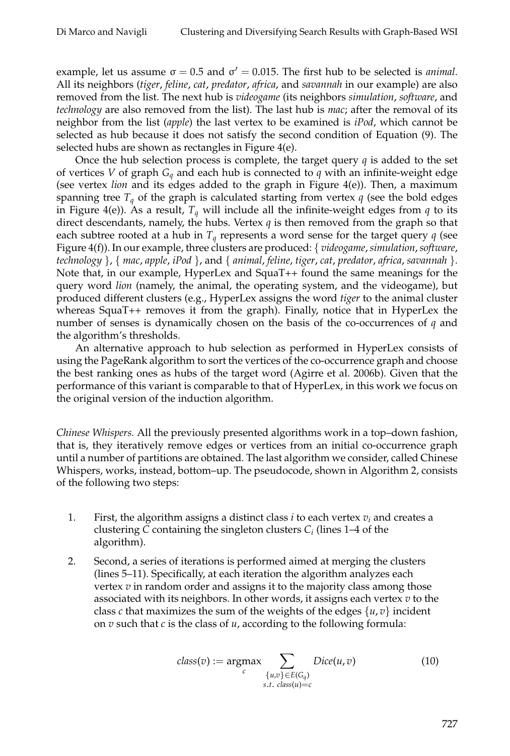example, let us assume  $\sigma = 0.5$  and  $\sigma' = 0.015$ . The first hub to be selected is *animal*. All its neighbors (*tiger*, *feline*, *cat*, *predator*, *africa*, and *savannah* in our example) are also removed from the list. The next hub is *videogame* (its neighbors *simulation*, *software*, and *technology* are also removed from the list). The last hub is *mac*; after the removal of its neighbor from the list (*apple*) the last vertex to be examined is *iPod*, which cannot be selected as hub because it does not satisfy the second condition of Equation (9). The selected hubs are shown as rectangles in Figure 4(e).

Once the hub selection process is complete, the target query *q* is added to the set of vertices *V* of graph  $G_q$  and each hub is connected to  $q$  with an infinite-weight edge (see vertex *lion* and its edges added to the graph in Figure 4(e)). Then, a maximum spanning tree  $T<sub>q</sub>$  of the graph is calculated starting from vertex  $q$  (see the bold edges in Figure 4(e)). As a result,  $T_q$  will include all the infinite-weight edges from  $q$  to its direct descendants, namely, the hubs. Vertex  $q$  is then removed from the graph so that each subtree rooted at a hub in  $T_q$  represents a word sense for the target query  $q$  (see Figure 4(f)). In our example, three clusters are produced: { *videogame*,*simulation*,*software*, *technology* }, { *mac*, *apple*, *iPod* }, and { *animal*, *feline*, *tiger*, *cat*, *predator*, *africa*, *savannah* }. Note that, in our example, HyperLex and SquaT++ found the same meanings for the query word *lion* (namely, the animal, the operating system, and the videogame), but produced different clusters (e.g., HyperLex assigns the word *tiger* to the animal cluster whereas SquaT++ removes it from the graph). Finally, notice that in HyperLex the number of senses is dynamically chosen on the basis of the co-occurrences of *q* and the algorithm's thresholds.

An alternative approach to hub selection as performed in HyperLex consists of using the PageRank algorithm to sort the vertices of the co-occurrence graph and choose the best ranking ones as hubs of the target word (Agirre et al. 2006b). Given that the performance of this variant is comparable to that of HyperLex, in this work we focus on the original version of the induction algorithm.

*Chinese Whispers.* All the previously presented algorithms work in a top–down fashion, that is, they iteratively remove edges or vertices from an initial co-occurrence graph until a number of partitions are obtained. The last algorithm we consider, called Chinese Whispers, works, instead, bottom–up. The pseudocode, shown in Algorithm 2, consists of the following two steps:

- 1. First, the algorithm assigns a distinct class *i* to each vertex *vi* and creates a clustering *C* containing the singleton clusters *Ci* (lines 1–4 of the algorithm).
- 2. Second, a series of iterations is performed aimed at merging the clusters (lines 5–11). Specifically, at each iteration the algorithm analyzes each vertex *v* in random order and assigns it to the majority class among those associated with its neighbors. In other words, it assigns each vertex *v* to the class *c* that maximizes the sum of the weights of the edges {*u*, *v*} incident on *v* such that *c* is the class of *u*, according to the following formula:

$$
class(v) := \underset{c}{\operatorname{argmax}} \sum_{\substack{\{u,v\} \in E(G_q) \\ \text{s.t. class}(u) = c}} \text{Dice}(u, v) \tag{10}
$$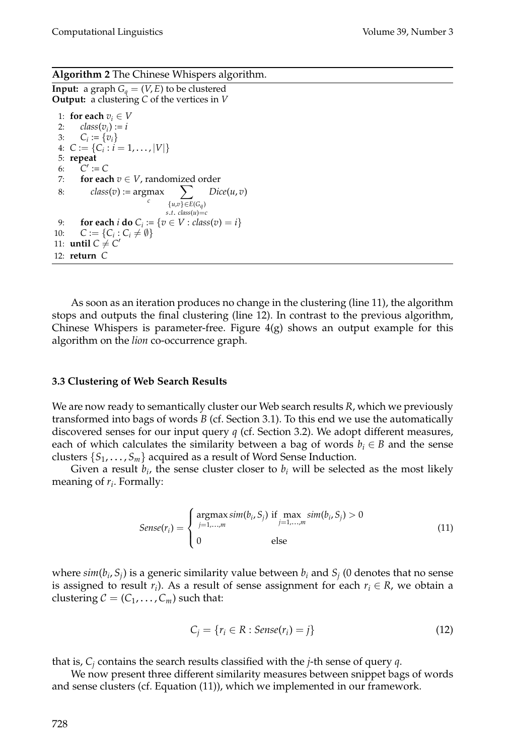#### **Algorithm 2** The Chinese Whispers algorithm.

**Input:** a graph  $G_q = (V, E)$  to be clustered **Output:** a clustering *C* of the vertices in *V*

```
1: for each v_i \in V2: class(v_i) := i3: C_i := \{v_i\}4: C := \{C_i : i = 1, ..., |V|\}5: repeat
 6: C' := C7: for each v \in V, randomized order
8: class(v) := argmaxc
                                  \sum{u,v}∈E(Gq )
                              s.t. class(u)=cDice(u, v)
9: for each i do C_i := \{ v \in V : \text{class}(v) = i \}10: C := \{C_i : C_i \neq \emptyset\}11: until C \neq C'12: return C
```
As soon as an iteration produces no change in the clustering (line 11), the algorithm stops and outputs the final clustering (line 12). In contrast to the previous algorithm, Chinese Whispers is parameter-free. Figure 4(g) shows an output example for this algorithm on the *lion* co-occurrence graph.

#### **3.3 Clustering of Web Search Results**

We are now ready to semantically cluster our Web search results *R*, which we previously transformed into bags of words *B* (cf. Section 3.1). To this end we use the automatically discovered senses for our input query *q* (cf. Section 3.2). We adopt different measures, each of which calculates the similarity between a bag of words  $b_i \in B$  and the sense clusters  $\{S_1, \ldots, S_m\}$  acquired as a result of Word Sense Induction.

Given a result  $b_i$ , the sense cluster closer to  $b_i$  will be selected as the most likely meaning of *ri*. Formally:

$$
Sense(r_i) = \begin{cases} \operatorname{argmax}_{j=1,\dots,m} \operatorname{sim}(b_i, S_j) & \text{if } \max_{j=1,\dots,m} \operatorname{sim}(b_i, S_j) > 0\\ 0 & \text{else} \end{cases}
$$
(11)

where  $\sin(b_i, S_j)$  is a generic similarity value between  $b_i$  and  $S_j$  (0 denotes that no sense is assigned to result  $r_i$ ). As a result of sense assignment for each  $r_i \in R$ , we obtain a clustering  $C = (C_1, \ldots, C_m)$  such that:

$$
C_j = \{r_i \in R : \text{Sense}(r_i) = j\}
$$
\n<sup>(12)</sup>

that is, *Cj* contains the search results classified with the *j*-th sense of query *q*.

We now present three different similarity measures between snippet bags of words and sense clusters (cf. Equation (11)), which we implemented in our framework.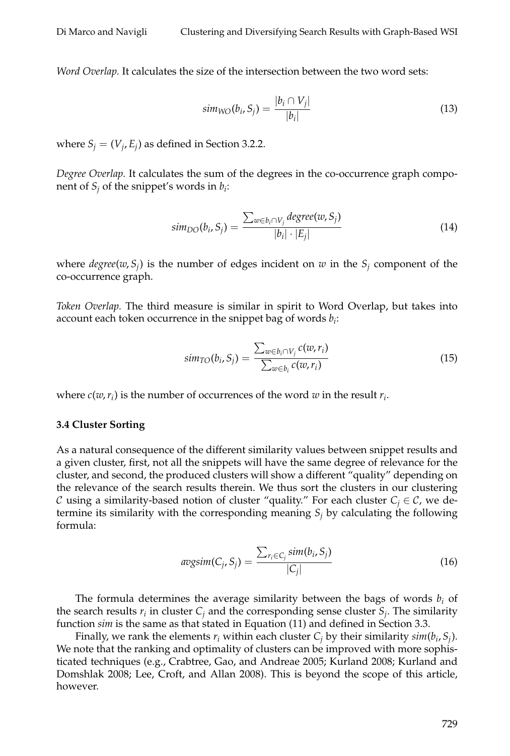*Word Overlap.* It calculates the size of the intersection between the two word sets:

$$
sim_{WO}(b_i, S_j) = \frac{|b_i \cap V_j|}{|b_i|} \tag{13}
$$

where  $S_j = (V_j, E_j)$  as defined in Section 3.2.2.

*Degree Overlap.* It calculates the sum of the degrees in the co-occurrence graph component of  $S_i$  of the snippet's words in  $b_i$ :

$$
sim_{DO}(b_i, S_j) = \frac{\sum_{w \in b_i \cap V_j} degree(w, S_j)}{|b_i| \cdot |E_j|}
$$
\n(14)

where  $degree(w, S_i)$  is the number of edges incident on *w* in the  $S_i$  component of the co-occurrence graph.

*Token Overlap.* The third measure is similar in spirit to Word Overlap, but takes into account each token occurrence in the snippet bag of words *bi*:

$$
sim_{TO}(b_i, S_j) = \frac{\sum_{w \in b_i \cap V_j} c(w, r_i)}{\sum_{w \in b_i} c(w, r_i)}
$$
(15)

where  $c(w, r_i)$  is the number of occurrences of the word *w* in the result  $r_i$ .

#### **3.4 Cluster Sorting**

As a natural consequence of the different similarity values between snippet results and a given cluster, first, not all the snippets will have the same degree of relevance for the cluster, and second, the produced clusters will show a different "quality" depending on the relevance of the search results therein. We thus sort the clusters in our clustering C using a similarity-based notion of cluster "quality." For each cluster  $C_i \in \mathcal{C}$ , we determine its similarity with the corresponding meaning  $S_j$  by calculating the following formula:

$$
avgsim(C_j, S_j) = \frac{\sum_{r_i \in C_j} sim(b_i, S_j)}{|C_j|}
$$
\n(16)

The formula determines the average similarity between the bags of words *bi* of the search results  $r_i$  in cluster  $C_i$  and the corresponding sense cluster  $S_i$ . The similarity function *sim* is the same as that stated in Equation (11) and defined in Section 3.3.

Finally, we rank the elements  $r_i$  within each cluster  $C_i$  by their similarity  $\text{sim}(b_i, S_i)$ . We note that the ranking and optimality of clusters can be improved with more sophisticated techniques (e.g., Crabtree, Gao, and Andreae 2005; Kurland 2008; Kurland and Domshlak 2008; Lee, Croft, and Allan 2008). This is beyond the scope of this article, however.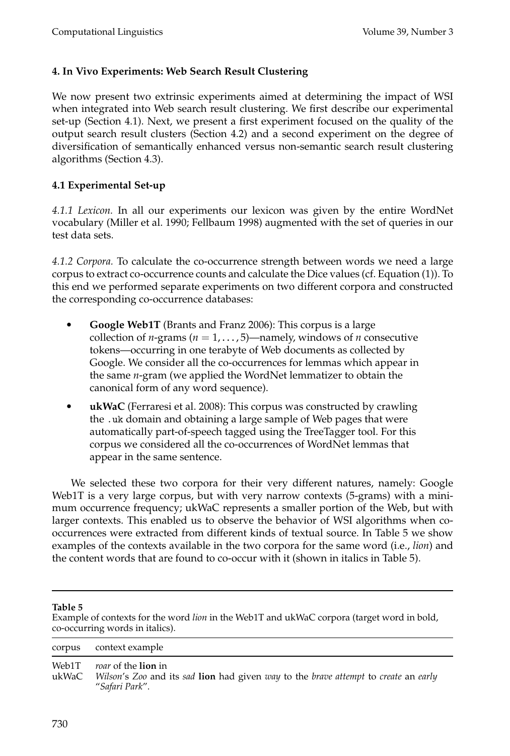## **4. In Vivo Experiments: Web Search Result Clustering**

We now present two extrinsic experiments aimed at determining the impact of WSI when integrated into Web search result clustering. We first describe our experimental set-up (Section 4.1). Next, we present a first experiment focused on the quality of the output search result clusters (Section 4.2) and a second experiment on the degree of diversification of semantically enhanced versus non-semantic search result clustering algorithms (Section 4.3).

## **4.1 Experimental Set-up**

*4.1.1 Lexicon.* In all our experiments our lexicon was given by the entire WordNet vocabulary (Miller et al. 1990; Fellbaum 1998) augmented with the set of queries in our test data sets.

*4.1.2 Corpora.* To calculate the co-occurrence strength between words we need a large corpus to extract co-occurrence counts and calculate the Dice values (cf. Equation (1)). To this end we performed separate experiments on two different corpora and constructed the corresponding co-occurrence databases:

- - **Google Web1T** (Brants and Franz 2006): This corpus is a large collection of *n*-grams ( $n = 1, \ldots, 5$ )—namely, windows of *n* consecutive tokens—occurring in one terabyte of Web documents as collected by Google. We consider all the co-occurrences for lemmas which appear in the same *n*-gram (we applied the WordNet lemmatizer to obtain the canonical form of any word sequence).
- $\bullet$  **ukWaC** (Ferraresi et al. 2008): This corpus was constructed by crawling the .uk domain and obtaining a large sample of Web pages that were automatically part-of-speech tagged using the TreeTagger tool. For this corpus we considered all the co-occurrences of WordNet lemmas that appear in the same sentence.

We selected these two corpora for their very different natures, namely: Google Web1T is a very large corpus, but with very narrow contexts (5-grams) with a minimum occurrence frequency; ukWaC represents a smaller portion of the Web, but with larger contexts. This enabled us to observe the behavior of WSI algorithms when cooccurrences were extracted from different kinds of textual source. In Table 5 we show examples of the contexts available in the two corpora for the same word (i.e., *lion*) and the content words that are found to co-occur with it (shown in italics in Table 5).

**Table 5**

Example of contexts for the word *lion* in the Web1T and ukWaC corpora (target word in bold, co-occurring words in italics).

|       | corpus context example                                                                                                                    |
|-------|-------------------------------------------------------------------------------------------------------------------------------------------|
| ukWaC | Web1T <i>roar</i> of the lion in<br>Wilson's Zoo and its sad lion had given way to the brave attempt to create an early<br>"Safari Park". |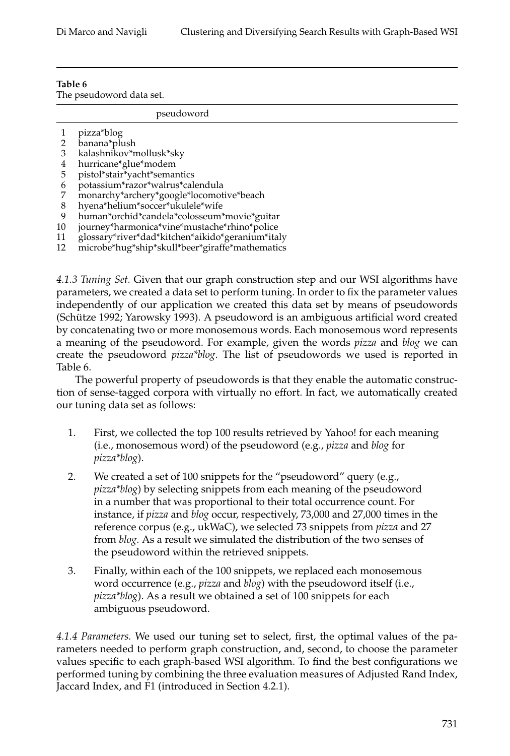The pseudoword data set.

| pizza*blog             |
|------------------------|
| المادين المتلاط متامات |

- 2 banana\*plush
- 3 kalashnikov\*mollusk\*sky
- 4 hurricane\*glue\*modem<br>5 pistol\*stair\*vacht\*semar 5 pistol\*stair\*yacht\*semantics
- 
- 6 potassium\*razor\*walrus\*calendula 7 monarchy\*archery\*google\*locomotive\*beach
- 8 hyena\*helium\*soccer\*ukulele\*wife
- 9 human\*orchid\*candela\*colosseum\*movie\*guitar
- 10 journey\*harmonica\*vine\*mustache\*rhino\*police
- 11 glossary\*river\*dad\*kitchen\*aikido\*geranium\*italy
- 12 microbe\*hug\*ship\*skull\*beer\*giraffe\*mathematics

*4.1.3 Tuning Set.* Given that our graph construction step and our WSI algorithms have parameters, we created a data set to perform tuning. In order to fix the parameter values independently of our application we created this data set by means of pseudowords (Schutze 1992; Yarowsky 1993). A pseudoword is an ambiguous artificial word created ¨ by concatenating two or more monosemous words. Each monosemous word represents a meaning of the pseudoword. For example, given the words *pizza* and *blog* we can create the pseudoword *pizza\*blog*. The list of pseudowords we used is reported in Table 6.

The powerful property of pseudowords is that they enable the automatic construction of sense-tagged corpora with virtually no effort. In fact, we automatically created our tuning data set as follows:

- 1. First, we collected the top 100 results retrieved by Yahoo! for each meaning (i.e., monosemous word) of the pseudoword (e.g., *pizza* and *blog* for *pizza\*blog*).
- 2. We created a set of 100 snippets for the "pseudoword" query (e.g., *pizza\*blog*) by selecting snippets from each meaning of the pseudoword in a number that was proportional to their total occurrence count. For instance, if *pizza* and *blog* occur, respectively, 73,000 and 27,000 times in the reference corpus (e.g., ukWaC), we selected 73 snippets from *pizza* and 27 from *blog*. As a result we simulated the distribution of the two senses of the pseudoword within the retrieved snippets.
- 3. Finally, within each of the 100 snippets, we replaced each monosemous word occurrence (e.g., *pizza* and *blog*) with the pseudoword itself (i.e., *pizza\*blog*). As a result we obtained a set of 100 snippets for each ambiguous pseudoword.

*4.1.4 Parameters.* We used our tuning set to select, first, the optimal values of the parameters needed to perform graph construction, and, second, to choose the parameter values specific to each graph-based WSI algorithm. To find the best configurations we performed tuning by combining the three evaluation measures of Adjusted Rand Index, Jaccard Index, and F1 (introduced in Section 4.2.1).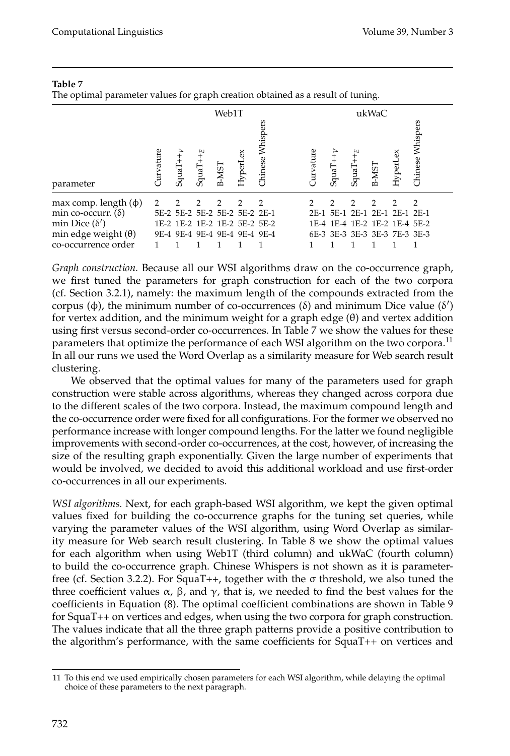|                            |               |                               |              | Web1T        |               |                  |           |                               |        | ukWaC              |        |                  |
|----------------------------|---------------|-------------------------------|--------------|--------------|---------------|------------------|-----------|-------------------------------|--------|--------------------|--------|------------------|
| parameter                  | Curvature     | SquaT+                        | $S$ qua $T+$ | <b>B-MST</b> | Hyperl        | Whisp<br>Chinese | Curvature | SquaT+                        | SquaT+ | B-M <sub>S</sub> T | Hyperl | Chinese Whispers |
| max comp. length $(\phi)$  | $\mathcal{D}$ |                               | 2            | 2            | $\mathcal{D}$ |                  | 2         | າ                             |        |                    | 2      | $\mathcal{P}$    |
| min co-occurr. $(\delta)$  |               | 5E-2 5E-2 5E-2 5E-2 5E-2 2E-1 |              |              |               |                  |           | 2E-1 5E-1 2E-1 2E-1 2E-1 2E-1 |        |                    |        |                  |
| min Dice $(\delta')$       |               | 1E-2 1E-2 1E-2 1E-2 5E-2 5E-2 |              |              |               |                  |           | 1E-4 1E-4 1E-2 1E-2 1E-4 5E-2 |        |                    |        |                  |
| min edge weight $(\theta)$ |               | 9E-4 9E-4 9E-4 9E-4 9E-4 9E-4 |              |              |               |                  |           | 6E-3 3E-3 3E-3 3E-3 7E-3 3E-3 |        |                    |        |                  |
| co-occurrence order        |               |                               |              |              |               |                  |           |                               |        |                    |        |                  |

The optimal parameter values for graph creation obtained as a result of tuning.

*Graph construction.* Because all our WSI algorithms draw on the co-occurrence graph, we first tuned the parameters for graph construction for each of the two corpora (cf. Section 3.2.1), namely: the maximum length of the compounds extracted from the corpus ( $\phi$ ), the minimum number of co-occurrences ( $\delta$ ) and minimum Dice value ( $\delta'$ ) for vertex addition, and the minimum weight for a graph edge  $(\theta)$  and vertex addition using first versus second-order co-occurrences. In Table 7 we show the values for these parameters that optimize the performance of each WSI algorithm on the two corpora.<sup>11</sup> In all our runs we used the Word Overlap as a similarity measure for Web search result clustering.

We observed that the optimal values for many of the parameters used for graph construction were stable across algorithms, whereas they changed across corpora due to the different scales of the two corpora. Instead, the maximum compound length and the co-occurrence order were fixed for all configurations. For the former we observed no performance increase with longer compound lengths. For the latter we found negligible improvements with second-order co-occurrences, at the cost, however, of increasing the size of the resulting graph exponentially. Given the large number of experiments that would be involved, we decided to avoid this additional workload and use first-order co-occurrences in all our experiments.

*WSI algorithms.* Next, for each graph-based WSI algorithm, we kept the given optimal values fixed for building the co-occurrence graphs for the tuning set queries, while varying the parameter values of the WSI algorithm, using Word Overlap as similarity measure for Web search result clustering. In Table 8 we show the optimal values for each algorithm when using Web1T (third column) and ukWaC (fourth column) to build the co-occurrence graph. Chinese Whispers is not shown as it is parameterfree (cf. Section 3.2.2). For SquaT++, together with the σ threshold, we also tuned the three coefficient values  $\alpha$ ,  $\beta$ , and  $\gamma$ , that is, we needed to find the best values for the coefficients in Equation (8). The optimal coefficient combinations are shown in Table 9 for SquaT++ on vertices and edges, when using the two corpora for graph construction. The values indicate that all the three graph patterns provide a positive contribution to the algorithm's performance, with the same coefficients for SquaT++ on vertices and

<sup>11</sup> To this end we used empirically chosen parameters for each WSI algorithm, while delaying the optimal choice of these parameters to the next paragraph.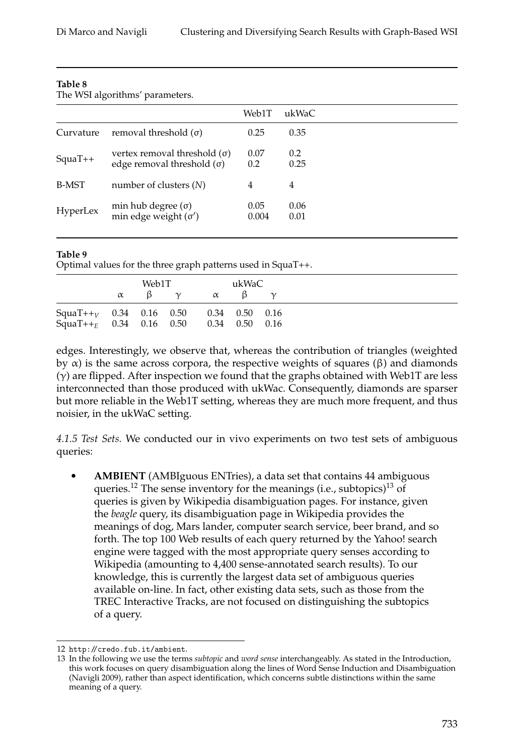| ×<br>۰. |  |
|---------|--|
|---------|--|

The WSI algorithms' parameters.

|           |                                                                          | Web1T         | ukWaC        |
|-----------|--------------------------------------------------------------------------|---------------|--------------|
| Curvature | removal threshold $(\sigma)$                                             | 0.25          | 0.35         |
| $SquaT++$ | vertex removal threshold $(\sigma)$<br>edge removal threshold $(\sigma)$ | 0.07<br>0.2   | 0.2<br>0.25  |
| B-MST     | number of clusters $(N)$                                                 | 4             | 4            |
| HyperLex  | min hub degree $(\sigma)$<br>min edge weight $(\sigma')$                 | 0.05<br>0.004 | 0.06<br>0.01 |

## **Table 9**

Optimal values for the three graph patterns used in SquaT++.

|                                              | Web1T |                           |  | ukWaC    |  |  |
|----------------------------------------------|-------|---------------------------|--|----------|--|--|
|                                              |       | $\alpha$ $\beta$ $\gamma$ |  | $\alpha$ |  |  |
| SquaT++ $_{V}$ 0.34 0.16 0.50 0.34 0.50 0.16 |       |                           |  |          |  |  |
| SquaT++ $_E$ 0.34 0.16 0.50 0.34 0.50 0.16   |       |                           |  |          |  |  |

edges. Interestingly, we observe that, whereas the contribution of triangles (weighted by  $\alpha$ ) is the same across corpora, the respective weights of squares ( $\beta$ ) and diamonds (γ) are flipped. After inspection we found that the graphs obtained with Web1T are less interconnected than those produced with ukWac. Consequently, diamonds are sparser but more reliable in the Web1T setting, whereas they are much more frequent, and thus noisier, in the ukWaC setting.

*4.1.5 Test Sets.* We conducted our in vivo experiments on two test sets of ambiguous queries:

- **AMBIENT** (AMBIguous ENTries), a data set that contains 44 ambiguous queries.<sup>12</sup> The sense inventory for the meanings (i.e., subtopics)<sup>13</sup> of queries is given by Wikipedia disambiguation pages. For instance, given the *beagle* query, its disambiguation page in Wikipedia provides the meanings of dog, Mars lander, computer search service, beer brand, and so forth. The top 100 Web results of each query returned by the Yahoo! search engine were tagged with the most appropriate query senses according to Wikipedia (amounting to 4,400 sense-annotated search results). To our knowledge, this is currently the largest data set of ambiguous queries available on-line. In fact, other existing data sets, such as those from the TREC Interactive Tracks, are not focused on distinguishing the subtopics of a query.

<sup>12</sup> http://credo.fub.it/ambient.

<sup>13</sup> In the following we use the terms *subtopic* and *word sense* interchangeably. As stated in the Introduction, this work focuses on query disambiguation along the lines of Word Sense Induction and Disambiguation (Navigli 2009), rather than aspect identification, which concerns subtle distinctions within the same meaning of a query.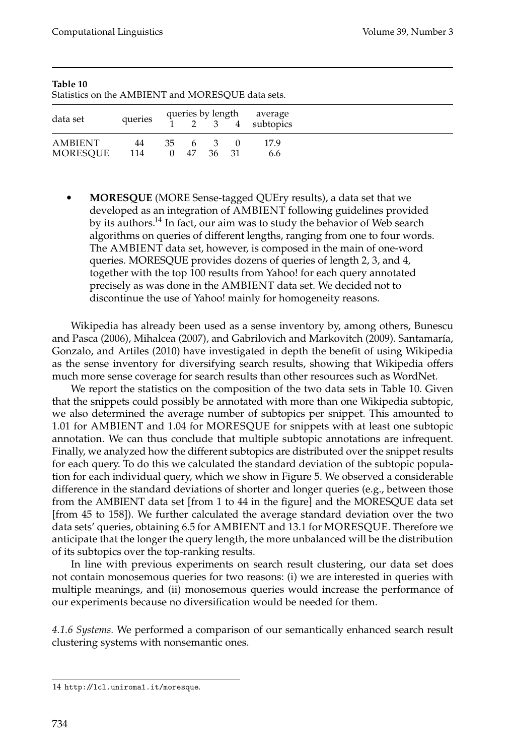| Statistics on the AMBIEN I and MORESOUE data sets. |         |     |     |                   |  |                                   |  |  |  |
|----------------------------------------------------|---------|-----|-----|-------------------|--|-----------------------------------|--|--|--|
| data set                                           | queries |     |     | queries by length |  | average<br>$3 \times 4$ subtopics |  |  |  |
| AMBIENT                                            | 44      | 35. | 6 3 |                   |  | 17.9                              |  |  |  |
| MORESOUE                                           | 114     |     | 47  | 36 31             |  | 6.6                               |  |  |  |

**Table 10** Statistics on the AMBIENT and MORESQUE data sets.

- **MORESQUE** (MORE Sense-tagged QUEry results), a data set that we developed as an integration of AMBIENT following guidelines provided by its authors.<sup>14</sup> In fact, our aim was to study the behavior of Web search algorithms on queries of different lengths, ranging from one to four words. The AMBIENT data set, however, is composed in the main of one-word queries. MORESQUE provides dozens of queries of length 2, 3, and 4, together with the top 100 results from Yahoo! for each query annotated precisely as was done in the AMBIENT data set. We decided not to discontinue the use of Yahoo! mainly for homogeneity reasons.

Wikipedia has already been used as a sense inventory by, among others, Bunescu and Pasca (2006), Mihalcea (2007), and Gabrilovich and Markovitch (2009). Santamaría, Gonzalo, and Artiles (2010) have investigated in depth the benefit of using Wikipedia as the sense inventory for diversifying search results, showing that Wikipedia offers much more sense coverage for search results than other resources such as WordNet.

We report the statistics on the composition of the two data sets in Table 10. Given that the snippets could possibly be annotated with more than one Wikipedia subtopic, we also determined the average number of subtopics per snippet. This amounted to 1.01 for AMBIENT and 1.04 for MORESQUE for snippets with at least one subtopic annotation. We can thus conclude that multiple subtopic annotations are infrequent. Finally, we analyzed how the different subtopics are distributed over the snippet results for each query. To do this we calculated the standard deviation of the subtopic population for each individual query, which we show in Figure 5. We observed a considerable difference in the standard deviations of shorter and longer queries (e.g., between those from the AMBIENT data set [from 1 to 44 in the figure] and the MORESQUE data set [from 45 to 158]). We further calculated the average standard deviation over the two data sets' queries, obtaining 6.5 for AMBIENT and 13.1 for MORESQUE. Therefore we anticipate that the longer the query length, the more unbalanced will be the distribution of its subtopics over the top-ranking results.

In line with previous experiments on search result clustering, our data set does not contain monosemous queries for two reasons: (i) we are interested in queries with multiple meanings, and (ii) monosemous queries would increase the performance of our experiments because no diversification would be needed for them.

*4.1.6 Systems.* We performed a comparison of our semantically enhanced search result clustering systems with nonsemantic ones.

<sup>14</sup> http://lcl.uniroma1.it/moresque.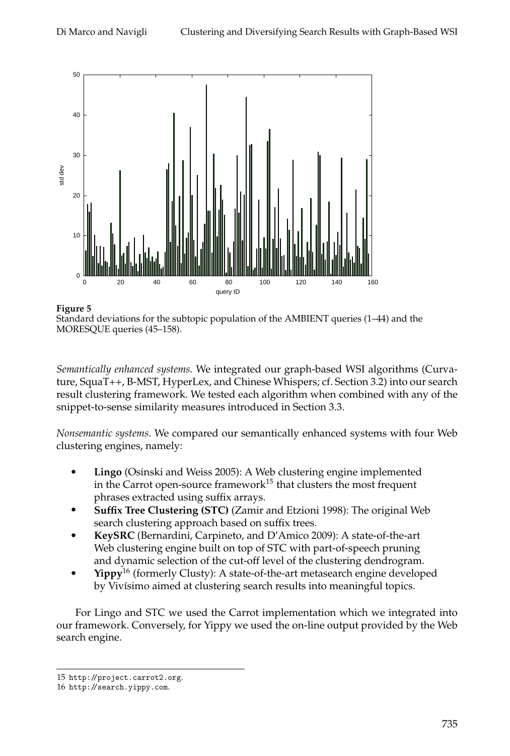

**Figure 5**

Standard deviations for the subtopic population of the AMBIENT queries (1–44) and the MORESQUE queries (45–158).

*Semantically enhanced systems.* We integrated our graph-based WSI algorithms (Curvature, SquaT++, B-MST, HyperLex, and Chinese Whispers; cf. Section 3.2) into our search result clustering framework. We tested each algorithm when combined with any of the snippet-to-sense similarity measures introduced in Section 3.3.

*Nonsemantic systems.* We compared our semantically enhanced systems with four Web clustering engines, namely:

- $\bullet$  **Lingo** (Osinski and Weiss 2005): A Web clustering engine implemented in the Carrot open-source framework<sup>15</sup> that clusters the most frequent
- phrases extracted using suffix arrays.<br>**Suffix Tree Clustering (STC)** (Zamir and Etzioni 1998): The original Web
- search clustering approach based on suffix trees.<br>• **KeySRC** (Bernardini, Carpineto, and D'Amico 2009): A state-of-the-art Web clustering engine built on top of STC with part-of-speech pruning
- and dynamic selection of the cut-off level of the clustering dendrogram.<br>**Tippy**<sup>16</sup> (formerly Clusty): A state-of-the-art metasearch engine developed by Vivísimo aimed at clustering search results into meaningful topics.

For Lingo and STC we used the Carrot implementation which we integrated into our framework. Conversely, for Yippy we used the on-line output provided by the Web search engine.

<sup>15</sup> http://project.carrot2.org.

<sup>16</sup> http://search.yippy.com.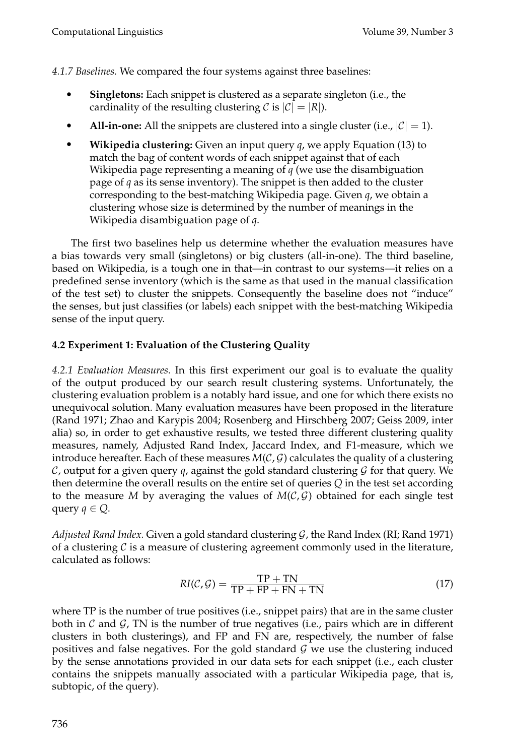*4.1.7 Baselines.* We compared the four systems against three baselines:

- - **Singletons:** Each snippet is clustered as a separate singleton (i.e., the cardinality of the resulting clustering C is  $|C| = |R|$ ).
- -**All-in-one:** All the snippets are clustered into a single cluster (i.e.,  $|\mathcal{C}| = 1$ ).
- - **Wikipedia clustering:** Given an input query *q*, we apply Equation (13) to match the bag of content words of each snippet against that of each Wikipedia page representing a meaning of *q* (we use the disambiguation page of *q* as its sense inventory). The snippet is then added to the cluster corresponding to the best-matching Wikipedia page. Given *q*, we obtain a clustering whose size is determined by the number of meanings in the Wikipedia disambiguation page of *q*.

The first two baselines help us determine whether the evaluation measures have a bias towards very small (singletons) or big clusters (all-in-one). The third baseline, based on Wikipedia, is a tough one in that—in contrast to our systems—it relies on a predefined sense inventory (which is the same as that used in the manual classification of the test set) to cluster the snippets. Consequently the baseline does not "induce" the senses, but just classifies (or labels) each snippet with the best-matching Wikipedia sense of the input query.

## **4.2 Experiment 1: Evaluation of the Clustering Quality**

*4.2.1 Evaluation Measures.* In this first experiment our goal is to evaluate the quality of the output produced by our search result clustering systems. Unfortunately, the clustering evaluation problem is a notably hard issue, and one for which there exists no unequivocal solution. Many evaluation measures have been proposed in the literature (Rand 1971; Zhao and Karypis 2004; Rosenberg and Hirschberg 2007; Geiss 2009, inter alia) so, in order to get exhaustive results, we tested three different clustering quality measures, namely, Adjusted Rand Index, Jaccard Index, and F1-measure, which we introduce hereafter. Each of these measures  $M(C, \mathcal{G})$  calculates the quality of a clustering  $C$ , output for a given query  $q$ , against the gold standard clustering  $\mathcal G$  for that query. We then determine the overall results on the entire set of queries *Q* in the test set according to the measure *M* by averaging the values of  $M(C, G)$  obtained for each single test query  $q \in Q$ .

*Adjusted Rand Index.* Given a gold standard clustering G, the Rand Index (RI; Rand 1971) of a clustering  $\mathcal C$  is a measure of clustering agreement commonly used in the literature, calculated as follows:

$$
RI(C, G) = \frac{TP + TN}{TP + FP + FN + TN}
$$
\n(17)

where TP is the number of true positives (i.e., snippet pairs) that are in the same cluster both in  $\mathcal C$  and  $\mathcal G$ , TN is the number of true negatives (i.e., pairs which are in different clusters in both clusterings), and FP and FN are, respectively, the number of false positives and false negatives. For the gold standard  $\mathcal G$  we use the clustering induced by the sense annotations provided in our data sets for each snippet (i.e., each cluster contains the snippets manually associated with a particular Wikipedia page, that is, subtopic, of the query).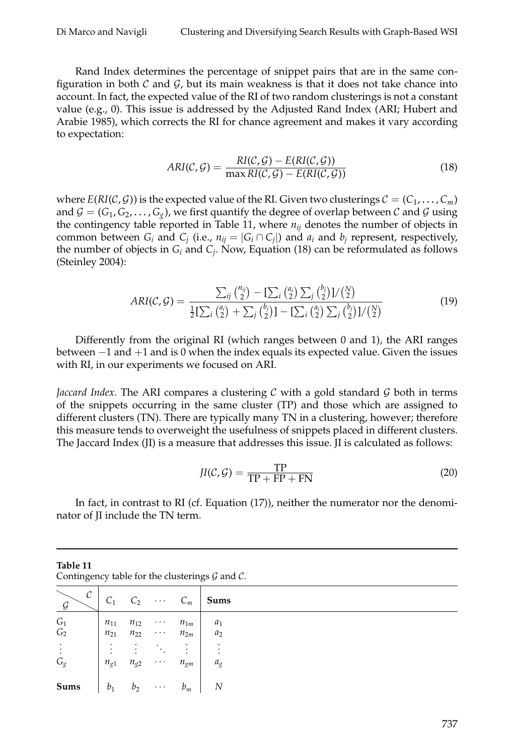Rand Index determines the percentage of snippet pairs that are in the same configuration in both  $C$  and  $C$ , but its main weakness is that it does not take chance into account. In fact, the expected value of the RI of two random clusterings is not a constant value (e.g., 0). This issue is addressed by the Adjusted Rand Index (ARI; Hubert and Arabie 1985), which corrects the RI for chance agreement and makes it vary according to expectation:

$$
ARI(C, \mathcal{G}) = \frac{RI(C, \mathcal{G}) - E(RI(C, \mathcal{G}))}{\max RI(C, \mathcal{G}) - E(RI(C, \mathcal{G}))}
$$
(18)

where  $E(RI(\mathcal{C}, \mathcal{G}))$  is the expected value of the RI. Given two clusterings  $\mathcal{C} = (C_1, \ldots, C_m)$ and  $\mathcal{G} = (G_1, G_2, \ldots, G_g)$ , we first quantify the degree of overlap between C and G using the contingency table reported in Table 11, where  $n_{ij}$  denotes the number of objects in common between  $G_i$  and  $C_j$  (i.e.,  $n_{ij} = |G_i \cap C_j|$ ) and  $a_i$  and  $b_j$  represent, respectively, the number of objects in *Gi* and *Cj*. Now, Equation (18) can be reformulated as follows (Steinley 2004):

$$
ARI(C, \mathcal{G}) = \frac{\sum_{ij} {n_{ij} \choose 2} - [\sum_i {a_i \choose 2} \sum_j {b_j \choose 2}] / {N \choose 2}}{\frac{1}{2} [\sum_i {a_i \choose 2} + \sum_j {b_j \choose 2}] - [\sum_i {a_i \choose 2} \sum_j {b_j \choose 2}] / {N \choose 2}}
$$
(19)

Differently from the original RI (which ranges between 0 and 1), the ARI ranges between  $-1$  and  $+1$  and is 0 when the index equals its expected value. Given the issues with RI, in our experiments we focused on ARI.

*Jaccard Index.* The ARI compares a clustering C with a gold standard G both in terms of the snippets occurring in the same cluster (TP) and those which are assigned to different clusters (TN). There are typically many TN in a clustering, however; therefore this measure tends to overweight the usefulness of snippets placed in different clusters. The Jaccard Index (JI) is a measure that addresses this issue. JI is calculated as follows:

$$
JI(\mathcal{C}, \mathcal{G}) = \frac{\text{TP}}{\text{TP} + \text{FP} + \text{FN}}
$$
 (20)

In fact, in contrast to RI (cf. Equation (17)), neither the numerator nor the denominator of JI include the TN term.

| $\mathcal C$<br>$\cal G$                     | $C_1$                | C <sub>2</sub>                                      | $\ldots$ .                                         | $C_m$                       | Sums           |  |
|----------------------------------------------|----------------------|-----------------------------------------------------|----------------------------------------------------|-----------------------------|----------------|--|
| $\frac{G_1}{G_2}$                            | $n_{11}$<br>$n_{21}$ | $n_{12}$<br>$n_{22}$                                | $\sim$ 0.00 $\sim$<br>$\ldots$                     | $n_{1m}$<br>$n_{2m}$        | $a_1$<br>$a_2$ |  |
| $\ddot{\phantom{a}}$<br>$G_{\boldsymbol{g}}$ | ÷<br>$n_{g1}$        | $\mathcal{L} = \frac{1}{2} \mathcal{L}$<br>$n_{g2}$ | $\mathcal{L}^{\text{max}}$<br>$\sim$ $\sim$ $\sim$ | $\frac{1}{2}$ .<br>$n_{gm}$ | $a_g$          |  |
| Sums                                         | $b_1$                | b <sub>2</sub>                                      | $\ldots$                                           | $b_m$                       | $\overline{N}$ |  |

**Table 11** Contingency table for the clusterings  $G$  and  $C$ .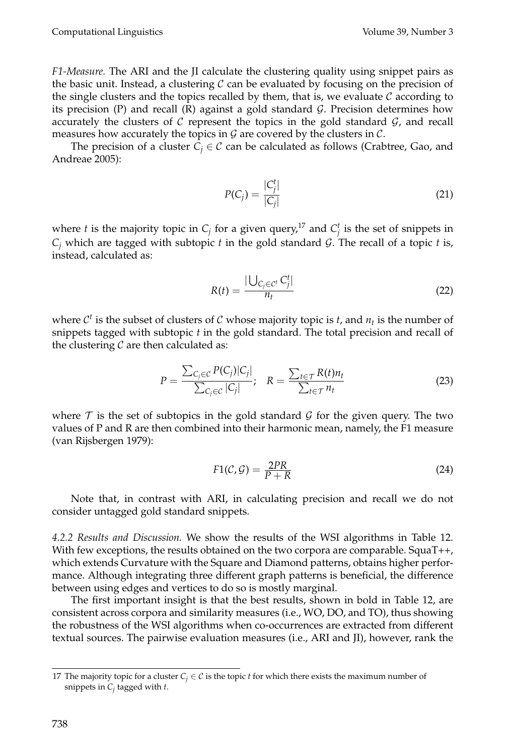*F1-Measure.* The ARI and the JI calculate the clustering quality using snippet pairs as the basic unit. Instead, a clustering  $\mathcal C$  can be evaluated by focusing on the precision of the single clusters and the topics recalled by them, that is, we evaluate  $\mathcal C$  according to its precision (P) and recall (R) against a gold standard  $G$ . Precision determines how accurately the clusters of  $C$  represent the topics in the gold standard  $C<sub>f</sub>$ , and recall measures how accurately the topics in  $G$  are covered by the clusters in  $C$ .

The precision of a cluster  $C_j \in \mathcal{C}$  can be calculated as follows (Crabtree, Gao, and Andreae 2005):

$$
P(C_j) = \frac{|C_j^t|}{|C_j|} \tag{21}
$$

where *t* is the majority topic in  $C_j$  for a given query,<sup>17</sup> and  $C_j^t$  is the set of snippets in  $C_j$  which are tagged with subtopic *t* in the gold standard  $G$ . The recall of a topic *t* is, instead, calculated as:

$$
R(t) = \frac{|\bigcup_{C_j \in \mathcal{C}^t} C_j^t|}{n_t} \tag{22}
$$

where  $C^t$  is the subset of clusters of C whose majority topic is *t*, and  $n_t$  is the number of snippets tagged with subtopic *t* in the gold standard. The total precision and recall of the clustering  $C$  are then calculated as:

$$
P = \frac{\sum_{C_j \in \mathcal{C}} P(C_j) |C_j|}{\sum_{C_j \in \mathcal{C}} |C_j|}; \quad R = \frac{\sum_{t \in \mathcal{T}} R(t) n_t}{\sum_{t \in \mathcal{T}} n_t}
$$
(23)

where  $\tau$  is the set of subtopics in the gold standard  $\mathcal G$  for the given query. The two values of P and R are then combined into their harmonic mean, namely, the F1 measure (van Rijsbergen 1979):

$$
F1(C, \mathcal{G}) = \frac{2PR}{P + R}
$$
\n(24)

Note that, in contrast with ARI, in calculating precision and recall we do not consider untagged gold standard snippets.

*4.2.2 Results and Discussion.* We show the results of the WSI algorithms in Table 12. With few exceptions, the results obtained on the two corpora are comparable. SquaT++, which extends Curvature with the Square and Diamond patterns, obtains higher performance. Although integrating three different graph patterns is beneficial, the difference between using edges and vertices to do so is mostly marginal.

The first important insight is that the best results, shown in bold in Table 12, are consistent across corpora and similarity measures (i.e., WO, DO, and TO), thus showing the robustness of the WSI algorithms when co-occurrences are extracted from different textual sources. The pairwise evaluation measures (i.e., ARI and JI), however, rank the

<sup>17</sup> The majority topic for a cluster  $C_j \in \mathcal{C}$  is the topic *t* for which there exists the maximum number of snippets in *Cj* tagged with *t*.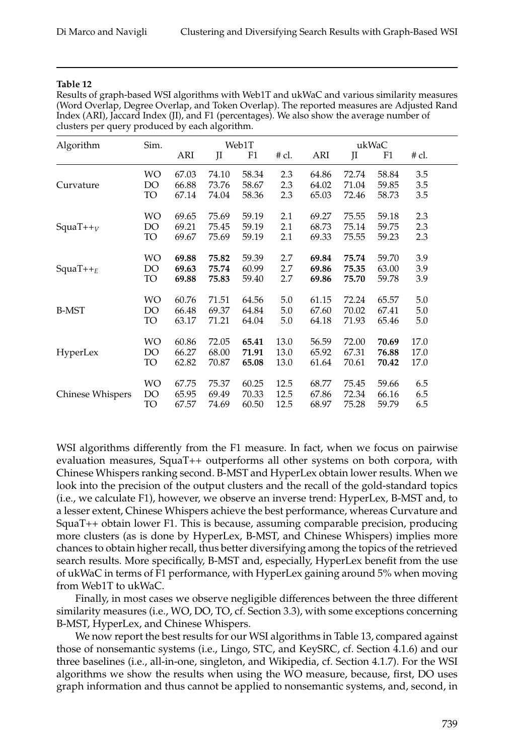Results of graph-based WSI algorithms with Web1T and ukWaC and various similarity measures (Word Overlap, Degree Overlap, and Token Overlap). The reported measures are Adjusted Rand Index (ARI), Jaccard Index (JI), and F1 (percentages). We also show the average number of clusters per query produced by each algorithm.

| Algorithm        | Sim.<br>Web1T |       |       |       | ukWaC |       |       |       |       |  |
|------------------|---------------|-------|-------|-------|-------|-------|-------|-------|-------|--|
|                  |               | ARI   | JI    | F1    | # cl. | ARI   | JI    | F1    | # cl. |  |
|                  | WO.           | 67.03 | 74.10 | 58.34 | 2.3   | 64.86 | 72.74 | 58.84 | 3.5   |  |
| Curvature        | DO            | 66.88 | 73.76 | 58.67 | 2.3   | 64.02 | 71.04 | 59.85 | 3.5   |  |
|                  | TO            | 67.14 | 74.04 | 58.36 | 2.3   | 65.03 | 72.46 | 58.73 | 3.5   |  |
|                  | <b>WO</b>     | 69.65 | 75.69 | 59.19 | 2.1   | 69.27 | 75.55 | 59.18 | 2.3   |  |
| SquaT++ $_V$     | DO            | 69.21 | 75.45 | 59.19 | 2.1   | 68.73 | 75.14 | 59.75 | 2.3   |  |
|                  | TO            | 69.67 | 75.69 | 59.19 | 2.1   | 69.33 | 75.55 | 59.23 | 2.3   |  |
|                  | <b>WO</b>     | 69.88 | 75.82 | 59.39 | 2.7   | 69.84 | 75.74 | 59.70 | 3.9   |  |
| SquaT+ $+_{E}$   | DO            | 69.63 | 75.74 | 60.99 | 2.7   | 69.86 | 75.35 | 63.00 | 3.9   |  |
|                  | TO            | 69.88 | 75.83 | 59.40 | 2.7   | 69.86 | 75.70 | 59.78 | 3.9   |  |
|                  | <b>WO</b>     | 60.76 | 71.51 | 64.56 | 5.0   | 61.15 | 72.24 | 65.57 | 5.0   |  |
| <b>B-MST</b>     | DO            | 66.48 | 69.37 | 64.84 | 5.0   | 67.60 | 70.02 | 67.41 | 5.0   |  |
|                  | TO            | 63.17 | 71.21 | 64.04 | 5.0   | 64.18 | 71.93 | 65.46 | 5.0   |  |
|                  | <b>WO</b>     | 60.86 | 72.05 | 65.41 | 13.0  | 56.59 | 72.00 | 70.69 | 17.0  |  |
| HyperLex         | DO            | 66.27 | 68.00 | 71.91 | 13.0  | 65.92 | 67.31 | 76.88 | 17.0  |  |
|                  | TO            | 62.82 | 70.87 | 65.08 | 13.0  | 61.64 | 70.61 | 70.42 | 17.0  |  |
|                  | WO            | 67.75 | 75.37 | 60.25 | 12.5  | 68.77 | 75.45 | 59.66 | 6.5   |  |
| Chinese Whispers | DO            | 65.95 | 69.49 | 70.33 | 12.5  | 67.86 | 72.34 | 66.16 | 6.5   |  |
|                  | TO            | 67.57 | 74.69 | 60.50 | 12.5  | 68.97 | 75.28 | 59.79 | 6.5   |  |

WSI algorithms differently from the F1 measure. In fact, when we focus on pairwise evaluation measures, SquaT++ outperforms all other systems on both corpora, with Chinese Whispers ranking second. B-MST and HyperLex obtain lower results. When we look into the precision of the output clusters and the recall of the gold-standard topics (i.e., we calculate F1), however, we observe an inverse trend: HyperLex, B-MST and, to a lesser extent, Chinese Whispers achieve the best performance, whereas Curvature and SquaT++ obtain lower F1. This is because, assuming comparable precision, producing more clusters (as is done by HyperLex, B-MST, and Chinese Whispers) implies more chances to obtain higher recall, thus better diversifying among the topics of the retrieved search results. More specifically, B-MST and, especially, HyperLex benefit from the use of ukWaC in terms of F1 performance, with HyperLex gaining around 5% when moving from Web1T to ukWaC.

Finally, in most cases we observe negligible differences between the three different similarity measures (i.e., WO, DO, TO, cf. Section 3.3), with some exceptions concerning B-MST, HyperLex, and Chinese Whispers.

We now report the best results for our WSI algorithms in Table 13, compared against those of nonsemantic systems (i.e., Lingo, STC, and KeySRC, cf. Section 4.1.6) and our three baselines (i.e., all-in-one, singleton, and Wikipedia, cf. Section 4.1.7). For the WSI algorithms we show the results when using the WO measure, because, first, DO uses graph information and thus cannot be applied to nonsemantic systems, and, second, in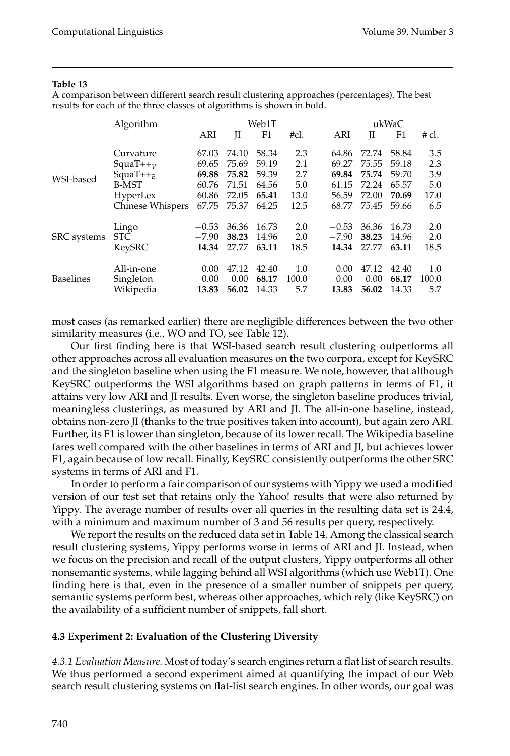A comparison between different search result clustering approaches (percentages). The best results for each of the three classes of algorithms is shown in bold.

|                  | Algorithm               | Web1T        |               |                |              | ukWaC        |               |                |              |
|------------------|-------------------------|--------------|---------------|----------------|--------------|--------------|---------------|----------------|--------------|
|                  |                         | ARI          | П             | F1             | #cl.         | ARI          | П             | F1             | # cl.        |
| WSI-based        | Curvature               | 67.03        | 74.10         | 58.34          | 2.3          | 64.86        | 72.74         | 58.84          | 3.5          |
|                  | SquaT++ $_V$            | 69.65        | 75.69         | 59.19          | 2.1          | 69.27        | 75.55         | 59.18          | 2.3          |
|                  | SquaT++ $_E$            | 69.88        | 75.82         | 59.39          | 2.7          | 69.84        | 75.74         | 59.70          | 3.9          |
|                  | <b>B-MST</b>            | 60.76        | 71.51         | 64.56          | 5.0          | 61.15        | 72.24         | 65.57          | 5.0          |
|                  | HyperLex                | 60.86        | 72.05         | 65.41          | 13.0         | 56.59        | 72.00         | 70.69          | 17.0         |
|                  | <b>Chinese Whispers</b> | 67.75        | 75.37         | 64.25          | 12.5         | 68.77        | 75.45         | 59.66          | 6.5          |
|                  | Lingo                   | $-0.53$      | 36.36         | 16.73          | 2.0          | $-0.53$      | 36.36         | 16.73          | 2.0          |
| SRC systems      | <b>STC</b>              | $-7.90$      | 38.23         | 14.96          | 2.0          | $-7.90$      | 38.23         | 14.96          | 2.0          |
|                  | KeySRC                  | 14.34        | 27.77         | 63.11          | 18.5         | 14.34        | 27.77         | 63.11          | 18.5         |
| <b>Baselines</b> | All-in-one<br>Singleton | 0.00<br>0.00 | 47.12<br>0.00 | 42.40<br>68.17 | 1.0<br>100.0 | 0.00<br>0.00 | 47.12<br>0.00 | 42.40<br>68.17 | 1.0<br>100.0 |
|                  | Wikipedia               | 13.83        | 56.02         | 14.33          | 5.7          | 13.83        | 56.02         | 14.33          | 5.7          |

most cases (as remarked earlier) there are negligible differences between the two other similarity measures (i.e., WO and TO, see Table 12).

Our first finding here is that WSI-based search result clustering outperforms all other approaches across all evaluation measures on the two corpora, except for KeySRC and the singleton baseline when using the F1 measure. We note, however, that although KeySRC outperforms the WSI algorithms based on graph patterns in terms of F1, it attains very low ARI and JI results. Even worse, the singleton baseline produces trivial, meaningless clusterings, as measured by ARI and JI. The all-in-one baseline, instead, obtains non-zero JI (thanks to the true positives taken into account), but again zero ARI. Further, its F1 is lower than singleton, because of its lower recall. The Wikipedia baseline fares well compared with the other baselines in terms of ARI and JI, but achieves lower F1, again because of low recall. Finally, KeySRC consistently outperforms the other SRC systems in terms of ARI and F1.

In order to perform a fair comparison of our systems with Yippy we used a modified version of our test set that retains only the Yahoo! results that were also returned by Yippy. The average number of results over all queries in the resulting data set is 24.4, with a minimum and maximum number of 3 and 56 results per query, respectively.

We report the results on the reduced data set in Table 14. Among the classical search result clustering systems, Yippy performs worse in terms of ARI and JI. Instead, when we focus on the precision and recall of the output clusters, Yippy outperforms all other nonsemantic systems, while lagging behind all WSI algorithms (which use Web1T). One finding here is that, even in the presence of a smaller number of snippets per query, semantic systems perform best, whereas other approaches, which rely (like KeySRC) on the availability of a sufficient number of snippets, fall short.

## **4.3 Experiment 2: Evaluation of the Clustering Diversity**

*4.3.1 Evaluation Measure.* Most of today's search engines return a flat list of search results. We thus performed a second experiment aimed at quantifying the impact of our Web search result clustering systems on flat-list search engines. In other words, our goal was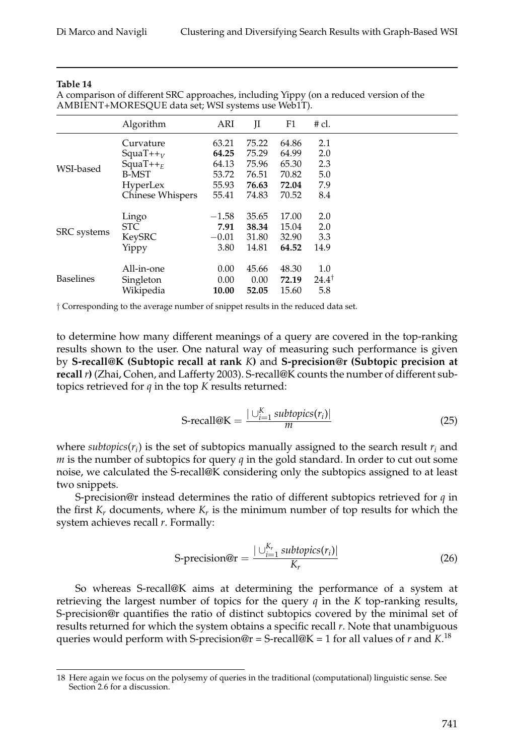A comparison of different SRC approaches, including Yippy (on a reduced version of the AMBIENT+MORESQUE data set; WSI systems use Web1T).

|                  | Algorithm        | ARI     | П     | F1    | # cl.            |
|------------------|------------------|---------|-------|-------|------------------|
|                  | Curvature        | 63.21   | 75.22 | 64.86 | 2.1              |
|                  | SquaT++ $_V$     | 64.25   | 75.29 | 64.99 | 2.0              |
|                  | SquaT+ $+_{E}$   | 64.13   | 75.96 | 65.30 | 2.3              |
| WSI-based        | <b>B-MST</b>     | 53.72   | 76.51 | 70.82 | 5.0              |
|                  | HyperLex         | 55.93   | 76.63 | 72.04 | 7.9              |
|                  | Chinese Whispers | 55.41   | 74.83 | 70.52 | 8.4              |
|                  |                  |         |       |       |                  |
|                  | Lingo            | $-1.58$ | 35.65 | 17.00 | 2.0              |
| SRC systems      | <b>STC</b>       | 7.91    | 38.34 | 15.04 | 2.0              |
|                  | KeySRC           | $-0.01$ | 31.80 | 32.90 | 3.3              |
|                  | Yippy            | 3.80    | 14.81 | 64.52 | 14.9             |
|                  | All-in-one       | 0.00    | 45.66 | 48.30 | 1.0              |
| <b>Baselines</b> | Singleton        | 0.00    | 0.00  | 72.19 | $24.4^{\dagger}$ |
|                  | Wikipedia        | 10.00   | 52.05 | 15.60 | 5.8              |

† Corresponding to the average number of snippet results in the reduced data set.

to determine how many different meanings of a query are covered in the top-ranking results shown to the user. One natural way of measuring such performance is given by **S-recall@K (Subtopic recall at rank** *K***)** and **S-precision@r (Subtopic precision at recall***r***)** (Zhai, Cohen, and Lafferty 2003). S-recall@K counts the number of different subtopics retrieved for *q* in the top *K* results returned:

$$
S\text{-}recall@K = \frac{|\cup_{i=1}^{K} \text{subtopics}(r_i)|}{m} \tag{25}
$$

where *subtopics*( $r_i$ ) is the set of subtopics manually assigned to the search result  $r_i$  and *m* is the number of subtopics for query *q* in the gold standard. In order to cut out some noise, we calculated the S-recall@K considering only the subtopics assigned to at least two snippets.

S-precision@r instead determines the ratio of different subtopics retrieved for *q* in the first  $K_r$  documents, where  $K_r$  is the minimum number of top results for which the system achieves recall *r*. Formally:

$$
\text{S-precision@r} = \frac{|\bigcup_{i=1}^{K_r} \text{subtopics}(r_i)|}{K_r} \tag{26}
$$

So whereas S-recall@K aims at determining the performance of a system at retrieving the largest number of topics for the query *q* in the *K* top-ranking results, S-precision@r quantifies the ratio of distinct subtopics covered by the minimal set of results returned for which the system obtains a specific recall *r*. Note that unambiguous queries would perform with S-precision@r = S-recall@K = 1 for all values of *r* and *K*. 18

<sup>18</sup> Here again we focus on the polysemy of queries in the traditional (computational) linguistic sense. See Section 2.6 for a discussion.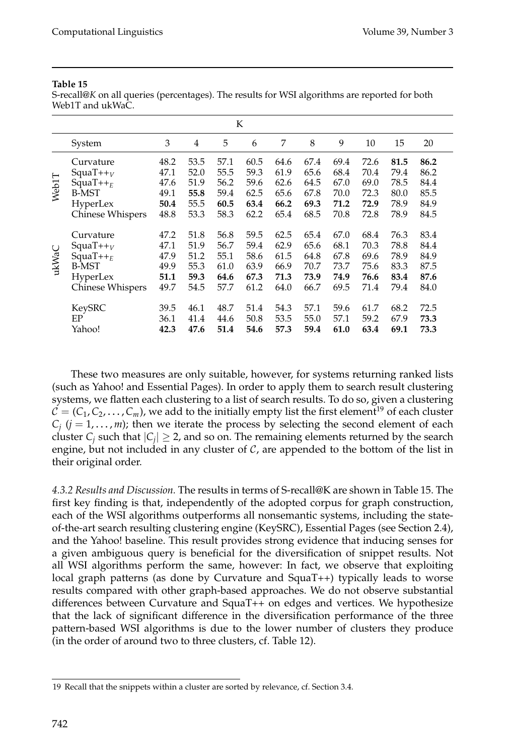S-recall@*K* on all queries (percentages). The results for WSI algorithms are reported for both Web1T and ukWaC.

| K                         |                                                                |                                      |                                      |                                      |                                      |                                      |                                      |                                      |                                      |                                      |
|---------------------------|----------------------------------------------------------------|--------------------------------------|--------------------------------------|--------------------------------------|--------------------------------------|--------------------------------------|--------------------------------------|--------------------------------------|--------------------------------------|--------------------------------------|
| System                    | 3                                                              | 4                                    | 5                                    | 6                                    | 7                                    | 8                                    | 9                                    | 10                                   | 15                                   | 20                                   |
| Curvature<br>SquaT++ $_V$ | 48.2<br>47.1                                                   | 53.5<br>52.0                         | 57.1<br>55.5                         | 60.5<br>59.3                         | 64.6<br>61.9                         | 67.4<br>65.6                         | 69.4<br>68.4                         | 72.6<br>70.4                         | 81.5<br>79.4                         | 86.2<br>86.2                         |
| <b>B-MST</b>              | 49.1                                                           | 55.8                                 | 59.4                                 | 62.5                                 | 65.6                                 | 67.8                                 | 70.0                                 | 72.3                                 | 80.0                                 | 84.4<br>85.5<br>84.9                 |
| Chinese Whispers          | 48.8                                                           | 53.3                                 | 58.3                                 | 62.2                                 | 65.4                                 | 68.5                                 | 70.8                                 | 72.8                                 | 78.9                                 | 84.5                                 |
| Curvature<br>SquaT++ $_V$ | 47.2<br>47.1                                                   | 51.8<br>51.9                         | 56.8<br>56.7                         | 59.5<br>59.4                         | 62.5<br>62.9                         | 65.4<br>65.6                         | 67.0<br>68.1                         | 68.4<br>70.3                         | 76.3<br>78.8                         | 83.4<br>84.4                         |
| <b>B-MST</b>              | 49.9                                                           | 55.3                                 | 61.0                                 | 63.9                                 | 66.9                                 | 70.7                                 | 73.7                                 | 75.6                                 | 83.3                                 | 84.9<br>87.5<br>87.6                 |
| Chinese Whispers          | 49.7                                                           | 54.5                                 | 57.7                                 | 61.2                                 | 64.0                                 | 66.7                                 | 69.5                                 | 71.4                                 | 79.4                                 | 84.0                                 |
| KeySRC<br>EP              | 39.5<br>36.1                                                   | 46.1<br>41.4                         | 48.7<br>44.6                         | 51.4<br>50.8                         | 54.3<br>53.5                         | 57.1<br>55.0                         | 59.6<br>57.1                         | 61.7<br>59.2                         | 68.2<br>67.9                         | 72.5<br>73.3<br>73.3                 |
|                           | SquaT++ $_E$<br>HyperLex<br>SquaT++ $_F$<br>HyperLex<br>Yahoo! | 47.6<br>50.4<br>47.9<br>51.1<br>42.3 | 51.9<br>55.5<br>51.2<br>59.3<br>47.6 | 56.2<br>60.5<br>55.1<br>64.6<br>51.4 | 59.6<br>63.4<br>58.6<br>67.3<br>54.6 | 62.6<br>66.2<br>61.5<br>71.3<br>57.3 | 64.5<br>69.3<br>64.8<br>73.9<br>59.4 | 67.0<br>71.2<br>67.8<br>74.9<br>61.0 | 69.0<br>72.9<br>69.6<br>76.6<br>63.4 | 78.5<br>78.9<br>78.9<br>83.4<br>69.1 |

These two measures are only suitable, however, for systems returning ranked lists (such as Yahoo! and Essential Pages). In order to apply them to search result clustering systems, we flatten each clustering to a list of search results. To do so, given a clustering  $\mathcal{C} = (C_1, C_2, \ldots, C_m)$ , we add to the initially empty list the first element<sup>19</sup> of each cluster  $C_i$  (*j* = 1, ..., *m*); then we iterate the process by selecting the second element of each cluster  $C_i$  such that  $|C_i| \geq 2$ , and so on. The remaining elements returned by the search engine, but not included in any cluster of  $C$ , are appended to the bottom of the list in their original order.

*4.3.2 Results and Discussion.* The results in terms of S-recall@K are shown in Table 15. The first key finding is that, independently of the adopted corpus for graph construction, each of the WSI algorithms outperforms all nonsemantic systems, including the stateof-the-art search resulting clustering engine (KeySRC), Essential Pages (see Section 2.4), and the Yahoo! baseline. This result provides strong evidence that inducing senses for a given ambiguous query is beneficial for the diversification of snippet results. Not all WSI algorithms perform the same, however: In fact, we observe that exploiting local graph patterns (as done by Curvature and SquaT++) typically leads to worse results compared with other graph-based approaches. We do not observe substantial differences between Curvature and SquaT++ on edges and vertices. We hypothesize that the lack of significant difference in the diversification performance of the three pattern-based WSI algorithms is due to the lower number of clusters they produce (in the order of around two to three clusters, cf. Table 12).

<sup>19</sup> Recall that the snippets within a cluster are sorted by relevance, cf. Section 3.4.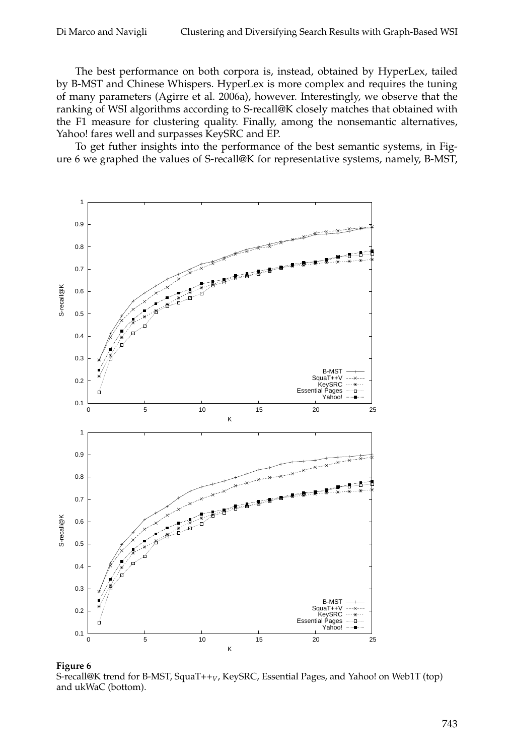The best performance on both corpora is, instead, obtained by HyperLex, tailed by B-MST and Chinese Whispers. HyperLex is more complex and requires the tuning of many parameters (Agirre et al. 2006a), however. Interestingly, we observe that the ranking of WSI algorithms according to S-recall@K closely matches that obtained with the F1 measure for clustering quality. Finally, among the nonsemantic alternatives, Yahoo! fares well and surpasses KeySRC and EP.

To get futher insights into the performance of the best semantic systems, in Figure 6 we graphed the values of S-recall@K for representative systems, namely, B-MST,



#### **Figure 6**

S-recall@K trend for B-MST, SquaT++*V*, KeySRC, Essential Pages, and Yahoo! on Web1T (top) and ukWaC (bottom).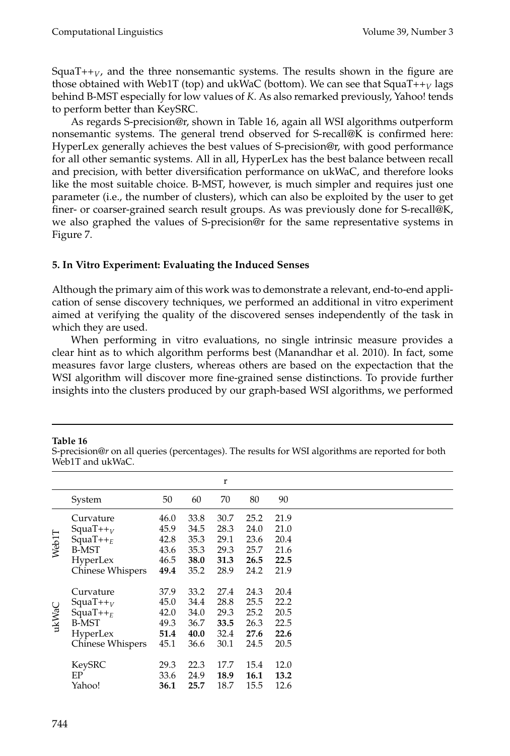SquaT $++<sub>V</sub>$ , and the three nonsemantic systems. The results shown in the figure are those obtained with Web1T (top) and  $ukWaC$  (bottom). We can see that  $SquaT++<sub>V</sub>$  lags behind B-MST especially for low values of *K*. As also remarked previously, Yahoo! tends to perform better than KeySRC.

As regards S-precision@r, shown in Table 16, again all WSI algorithms outperform nonsemantic systems. The general trend observed for S-recall@K is confirmed here: HyperLex generally achieves the best values of S-precision@r, with good performance for all other semantic systems. All in all, HyperLex has the best balance between recall and precision, with better diversification performance on ukWaC, and therefore looks like the most suitable choice. B-MST, however, is much simpler and requires just one parameter (i.e., the number of clusters), which can also be exploited by the user to get finer- or coarser-grained search result groups. As was previously done for S-recall@K, we also graphed the values of S-precision@r for the same representative systems in Figure 7.

## **5. In Vitro Experiment: Evaluating the Induced Senses**

Although the primary aim of this work was to demonstrate a relevant, end-to-end application of sense discovery techniques, we performed an additional in vitro experiment aimed at verifying the quality of the discovered senses independently of the task in which they are used.

When performing in vitro evaluations, no single intrinsic measure provides a clear hint as to which algorithm performs best (Manandhar et al. 2010). In fact, some measures favor large clusters, whereas others are based on the expectaction that the WSI algorithm will discover more fine-grained sense distinctions. To provide further insights into the clusters produced by our graph-based WSI algorithms, we performed

#### **Table 16**

|       |                  |      |      | $\mathbf{r}$ |      |      |  |
|-------|------------------|------|------|--------------|------|------|--|
|       | System           | 50   | 60   | 70           | 80   | 90   |  |
|       | Curvature        | 46.0 | 33.8 | 30.7         | 25.2 | 21.9 |  |
|       | SquaT++ $_V$     | 45.9 | 34.5 | 28.3         | 24.0 | 21.0 |  |
| Web1T | SquaT++ $_E$     | 42.8 | 35.3 | 29.1         | 23.6 | 20.4 |  |
|       | <b>B-MST</b>     | 43.6 | 35.3 | 29.3         | 25.7 | 21.6 |  |
|       | HyperLex         | 46.5 | 38.0 | 31.3         | 26.5 | 22.5 |  |
|       | Chinese Whispers | 49.4 | 35.2 | 28.9         | 24.2 | 21.9 |  |
|       |                  |      |      |              |      |      |  |
|       | Curvature        | 37.9 | 33.2 | 27.4         | 24.3 | 20.4 |  |
|       | SquaT++ $_V$     | 45.0 | 34.4 | 28.8         | 25.5 | 22.2 |  |
|       | SquaT++ $_E$     | 42.0 | 34.0 | 29.3         | 25.2 | 20.5 |  |
| ukWaC | <b>B-MST</b>     | 49.3 | 36.7 | 33.5         | 26.3 | 22.5 |  |
|       | HyperLex         | 51.4 | 40.0 | 32.4         | 27.6 | 22.6 |  |
|       | Chinese Whispers | 45.1 | 36.6 | 30.1         | 24.5 | 20.5 |  |
|       |                  |      |      |              |      |      |  |
|       | KeySRC           | 29.3 | 22.3 | 17.7         | 15.4 | 12.0 |  |
|       | EP               | 33.6 | 24.9 | 18.9         | 16.1 | 13.2 |  |
|       | Yahoo!           | 36.1 | 25.7 | 18.7         | 15.5 | 12.6 |  |

S-precision@*r* on all queries (percentages). The results for WSI algorithms are reported for both Web1T and ukWaC.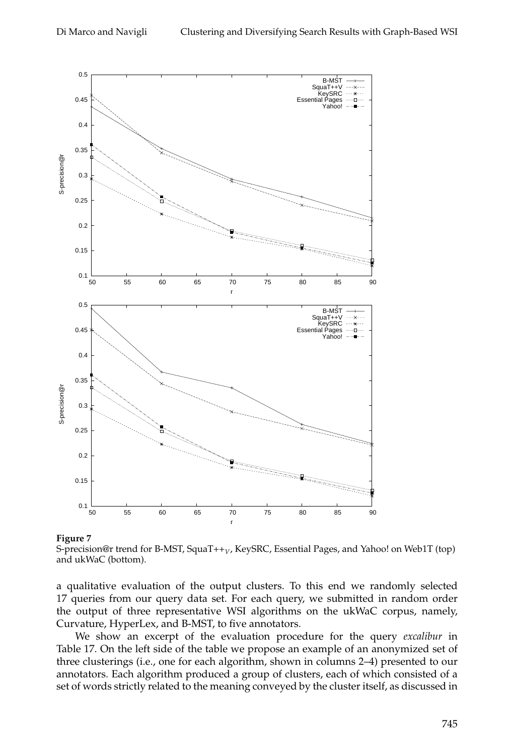

#### **Figure 7**

S-precision@r trend for B-MST, SquaT++*V*, KeySRC, Essential Pages, and Yahoo! on Web1T (top) and ukWaC (bottom).

a qualitative evaluation of the output clusters. To this end we randomly selected 17 queries from our query data set. For each query, we submitted in random order the output of three representative WSI algorithms on the ukWaC corpus, namely, Curvature, HyperLex, and B-MST, to five annotators.

We show an excerpt of the evaluation procedure for the query *excalibur* in Table 17. On the left side of the table we propose an example of an anonymized set of three clusterings (i.e., one for each algorithm, shown in columns 2–4) presented to our annotators. Each algorithm produced a group of clusters, each of which consisted of a set of words strictly related to the meaning conveyed by the cluster itself, as discussed in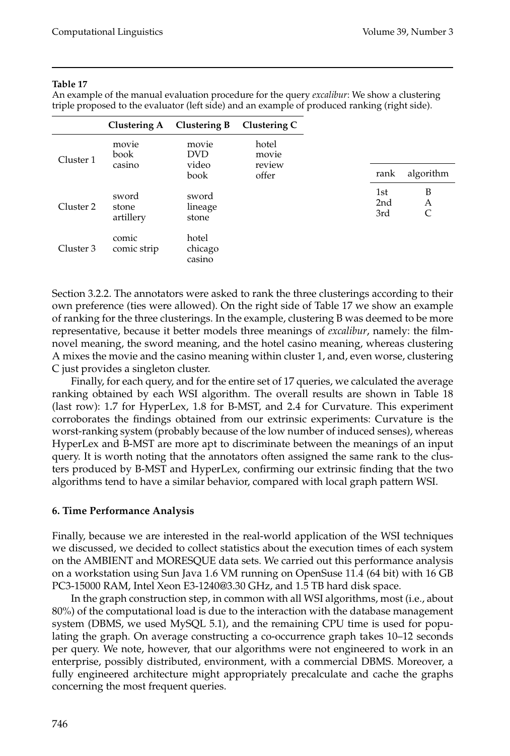An example of the manual evaluation procedure for the query *excalibur*: We show a clustering triple proposed to the evaluator (left side) and an example of produced ranking (right side).

|           | Clustering A                | Clustering B               | Clustering C    |                               |             |
|-----------|-----------------------------|----------------------------|-----------------|-------------------------------|-------------|
| Cluster 1 | movie<br>book               | movie<br><b>DVD</b>        | hotel<br>movie  |                               |             |
|           | casino                      | video<br>book              | review<br>offer | rank                          | algorithm   |
| Cluster 2 | sword<br>stone<br>artillery | sword<br>lineage<br>stone  |                 | 1st<br>2 <sub>nd</sub><br>3rd | B<br>А<br>C |
| Cluster 3 | comic<br>comic strip        | hotel<br>chicago<br>casino |                 |                               |             |

Section 3.2.2. The annotators were asked to rank the three clusterings according to their own preference (ties were allowed). On the right side of Table 17 we show an example of ranking for the three clusterings. In the example, clustering B was deemed to be more representative, because it better models three meanings of *excalibur*, namely: the filmnovel meaning, the sword meaning, and the hotel casino meaning, whereas clustering A mixes the movie and the casino meaning within cluster 1, and, even worse, clustering C just provides a singleton cluster.

Finally, for each query, and for the entire set of 17 queries, we calculated the average ranking obtained by each WSI algorithm. The overall results are shown in Table 18 (last row): 1.7 for HyperLex, 1.8 for B-MST, and 2.4 for Curvature. This experiment corroborates the findings obtained from our extrinsic experiments: Curvature is the worst-ranking system (probably because of the low number of induced senses), whereas HyperLex and B-MST are more apt to discriminate between the meanings of an input query. It is worth noting that the annotators often assigned the same rank to the clusters produced by B-MST and HyperLex, confirming our extrinsic finding that the two algorithms tend to have a similar behavior, compared with local graph pattern WSI.

## **6. Time Performance Analysis**

Finally, because we are interested in the real-world application of the WSI techniques we discussed, we decided to collect statistics about the execution times of each system on the AMBIENT and MORESQUE data sets. We carried out this performance analysis on a workstation using Sun Java 1.6 VM running on OpenSuse 11.4 (64 bit) with 16 GB PC3-15000 RAM, Intel Xeon E3-1240@3.30 GHz, and 1.5 TB hard disk space.

In the graph construction step, in common with all WSI algorithms, most (i.e., about 80%) of the computational load is due to the interaction with the database management system (DBMS, we used MySQL 5.1), and the remaining CPU time is used for populating the graph. On average constructing a co-occurrence graph takes 10–12 seconds per query. We note, however, that our algorithms were not engineered to work in an enterprise, possibly distributed, environment, with a commercial DBMS. Moreover, a fully engineered architecture might appropriately precalculate and cache the graphs concerning the most frequent queries.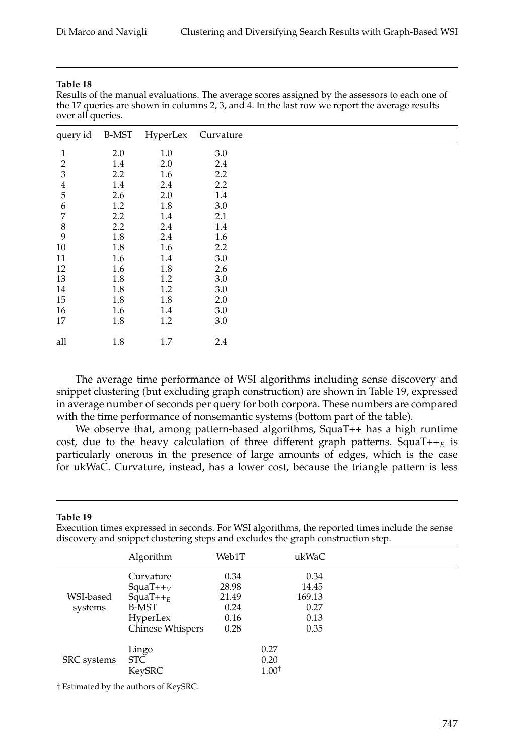Results of the manual evaluations. The average scores assigned by the assessors to each one of the 17 queries are shown in columns 2, 3, and 4. In the last row we report the average results over all queries.

| query id                    | B-MST | HyperLex | Curvature |  |
|-----------------------------|-------|----------|-----------|--|
| 1                           | 2.0   | 1.0      | 3.0       |  |
| $\overline{2}$              | 1.4   | 2.0      | 2.4       |  |
| $\ensuremath{\mathfrak{Z}}$ | 2.2   | 1.6      | 2.2       |  |
| $\bf 4$                     | 1.4   | 2.4      | 2.2       |  |
| 5                           | 2.6   | 2.0      | 1.4       |  |
| $\boldsymbol{6}$            | 1.2   | 1.8      | 3.0       |  |
| 7                           | 2.2   | 1.4      | 2.1       |  |
| $\,8\,$                     | 2.2   | 2.4      | 1.4       |  |
| 9                           | 1.8   | 2.4      | 1.6       |  |
| 10                          | 1.8   | 1.6      | 2.2       |  |
| 11                          | 1.6   | 1.4      | 3.0       |  |
| 12                          | 1.6   | 1.8      | 2.6       |  |
| 13                          | 1.8   | 1.2      | 3.0       |  |
| 14                          | 1.8   | 1.2      | 3.0       |  |
| 15                          | 1.8   | 1.8      | 2.0       |  |
| 16                          | 1.6   | 1.4      | 3.0       |  |
| 17                          | 1.8   | 1.2      | 3.0       |  |
| all                         | 1.8   | 1.7      | 2.4       |  |

The average time performance of WSI algorithms including sense discovery and snippet clustering (but excluding graph construction) are shown in Table 19, expressed in average number of seconds per query for both corpora. These numbers are compared with the time performance of nonsemantic systems (bottom part of the table).

We observe that, among pattern-based algorithms, SquaT++ has a high runtime cost, due to the heavy calculation of three different graph patterns. SquaT++ $_E$  is particularly onerous in the presence of large amounts of edges, which is the case for ukWaC. Curvature, instead, has a lower cost, because the triangle pattern is less

#### **Table 19**

Execution times expressed in seconds. For WSI algorithms, the reported times include the sense discovery and snippet clustering steps and excludes the graph construction step.

|                      | Algorithm                                                                                | Web1T                                          | ukWaC                                           |  |
|----------------------|------------------------------------------------------------------------------------------|------------------------------------------------|-------------------------------------------------|--|
| WSI-based<br>systems | Curvature<br>SquaT++ $_V$<br>$SquaT++_E$<br><b>B-MST</b><br>HyperLex<br>Chinese Whispers | 0.34<br>28.98<br>21.49<br>0.24<br>0.16<br>0.28 | 0.34<br>14.45<br>169.13<br>0.27<br>0.13<br>0.35 |  |
| SRC systems          | Lingo<br><b>STC</b><br>KeySRC                                                            |                                                | 0.27<br>0.20<br>$1.00^{\dagger}$                |  |

† Estimated by the authors of KeySRC.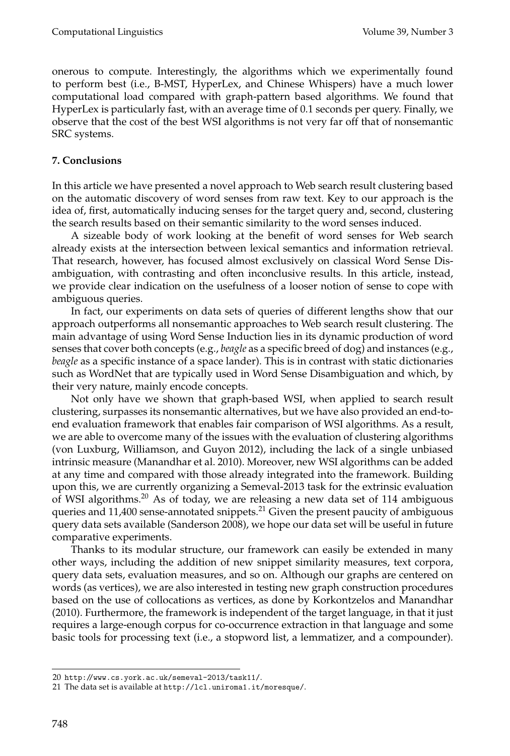onerous to compute. Interestingly, the algorithms which we experimentally found to perform best (i.e., B-MST, HyperLex, and Chinese Whispers) have a much lower computational load compared with graph-pattern based algorithms. We found that HyperLex is particularly fast, with an average time of 0.1 seconds per query. Finally, we observe that the cost of the best WSI algorithms is not very far off that of nonsemantic SRC systems.

## **7. Conclusions**

In this article we have presented a novel approach to Web search result clustering based on the automatic discovery of word senses from raw text. Key to our approach is the idea of, first, automatically inducing senses for the target query and, second, clustering the search results based on their semantic similarity to the word senses induced.

A sizeable body of work looking at the benefit of word senses for Web search already exists at the intersection between lexical semantics and information retrieval. That research, however, has focused almost exclusively on classical Word Sense Disambiguation, with contrasting and often inconclusive results. In this article, instead, we provide clear indication on the usefulness of a looser notion of sense to cope with ambiguous queries.

In fact, our experiments on data sets of queries of different lengths show that our approach outperforms all nonsemantic approaches to Web search result clustering. The main advantage of using Word Sense Induction lies in its dynamic production of word senses that cover both concepts (e.g., *beagle* as a specific breed of dog) and instances (e.g., *beagle* as a specific instance of a space lander). This is in contrast with static dictionaries such as WordNet that are typically used in Word Sense Disambiguation and which, by their very nature, mainly encode concepts.

Not only have we shown that graph-based WSI, when applied to search result clustering, surpasses its nonsemantic alternatives, but we have also provided an end-toend evaluation framework that enables fair comparison of WSI algorithms. As a result, we are able to overcome many of the issues with the evaluation of clustering algorithms (von Luxburg, Williamson, and Guyon 2012), including the lack of a single unbiased intrinsic measure (Manandhar et al. 2010). Moreover, new WSI algorithms can be added at any time and compared with those already integrated into the framework. Building upon this, we are currently organizing a Semeval-2013 task for the extrinsic evaluation of WSI algorithms.<sup>20</sup> As of today, we are releasing a new data set of 114 ambiguous queries and  $11,400$  sense-annotated snippets.<sup>21</sup> Given the present paucity of ambiguous query data sets available (Sanderson 2008), we hope our data set will be useful in future comparative experiments.

Thanks to its modular structure, our framework can easily be extended in many other ways, including the addition of new snippet similarity measures, text corpora, query data sets, evaluation measures, and so on. Although our graphs are centered on words (as vertices), we are also interested in testing new graph construction procedures based on the use of collocations as vertices, as done by Korkontzelos and Manandhar (2010). Furthermore, the framework is independent of the target language, in that it just requires a large-enough corpus for co-occurrence extraction in that language and some basic tools for processing text (i.e., a stopword list, a lemmatizer, and a compounder).

<sup>20</sup> http://www.cs.york.ac.uk/semeval-2013/task11/.

<sup>21</sup> The data set is available at http://lcl.uniroma1.it/moresque/.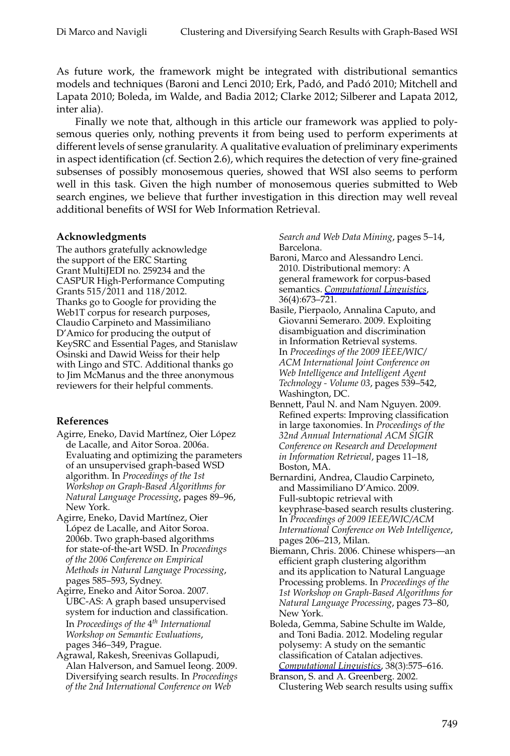As future work, the framework might be integrated with distributional semantics models and techniques (Baroni and Lenci 2010; Erk, Padó, and Padó 2010; Mitchell and Lapata 2010; Boleda, im Walde, and Badia 2012; Clarke 2012; Silberer and Lapata 2012, inter alia).

Finally we note that, although in this article our framework was applied to polysemous queries only, nothing prevents it from being used to perform experiments at different levels of sense granularity. A qualitative evaluation of preliminary experiments in aspect identification (cf. Section 2.6), which requires the detection of very fine-grained subsenses of possibly monosemous queries, showed that WSI also seems to perform well in this task. Given the high number of monosemous queries submitted to Web search engines, we believe that further investigation in this direction may well reveal additional benefits of WSI for Web Information Retrieval.

#### **Acknowledgments**

The authors gratefully acknowledge the support of the ERC Starting Grant MultiJEDI no. 259234 and the CASPUR High-Performance Computing Grants 515/2011 and 118/2012. Thanks go to Google for providing the Web1T corpus for research purposes, Claudio Carpineto and Massimiliano D'Amico for producing the output of KeySRC and Essential Pages, and Stanislaw Osinski and Dawid Weiss for their help with Lingo and STC. Additional thanks go to Jim McManus and the three anonymous reviewers for their helpful comments.

#### **References**

- Agirre, Eneko, David Martínez, Oier López de Lacalle, and Aitor Soroa. 2006a. Evaluating and optimizing the parameters of an unsupervised graph-based WSD algorithm. In *Proceedings of the 1st Workshop on Graph-Based Algorithms for Natural Language Processing*, pages 89–96, New York.
- Agirre, Eneko, David Martínez, Oier López de Lacalle, and Aitor Soroa. 2006b. Two graph-based algorithms for state-of-the-art WSD. In *Proceedings of the 2006 Conference on Empirical Methods in Natural Language Processing*, pages 585–593, Sydney.
- Agirre, Eneko and Aitor Soroa. 2007. UBC-AS: A graph based unsupervised system for induction and classification. In *Proceedings of the* 4*th International Workshop on Semantic Evaluations*, pages 346–349, Prague.
- Agrawal, Rakesh, Sreenivas Gollapudi, Alan Halverson, and Samuel Ieong. 2009. Diversifying search results. In *Proceedings of the 2nd International Conference on Web*

*Search and Web Data Mining*, pages 5–14, Barcelona.

- Baroni, Marco and Alessandro Lenci. 2010. Distributional memory: A general framework for corpus-based semantics. *Computational Linguistics*, 36(4):673–721.
- Basile, Pierpaolo, Annalina Caputo, and Giovanni Semeraro. 2009. Exploiting disambiguation and discrimination in Information Retrieval systems. In *Proceedings of the 2009 IEEE/WIC/ ACM International Joint Conference on Web Intelligence and Intelligent Agent Technology - Volume 03*, pages 539–542, Washington, DC.
- Bennett, Paul N. and Nam Nguyen. 2009. Refined experts: Improving classification in large taxonomies. In *Proceedings of the 32nd Annual International ACM SIGIR Conference on Research and Development in Information Retrieval*, pages 11–18, Boston, MA.
- Bernardini, Andrea, Claudio Carpineto, and Massimiliano D'Amico. 2009. Full-subtopic retrieval with keyphrase-based search results clustering. In *Proceedings of 2009 IEEE/WIC/ACM International Conference on Web Intelligence*, pages 206–213, Milan.
- Biemann, Chris. 2006. Chinese whispers—an efficient graph clustering algorithm and its application to Natural Language Processing problems. In *Proceedings of the 1st Workshop on Graph-Based Algorithms for Natural Language Processing*, pages 73–80, New York.

Boleda, Gemma, Sabine Schulte im Walde, and Toni Badia. 2012. Modeling regular polysemy: A study on the semantic classification of Catalan adjectives. *Computational Linguistics*, 38(3):575–616.

Branson, S. and A. Greenberg. 2002. Clustering Web search results using suffix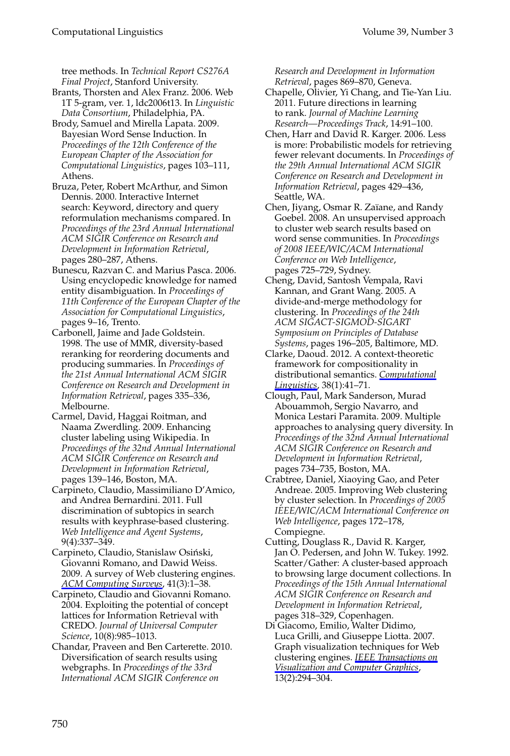#### Computational Linguistics Volume 39, Number 3

tree methods. In *Technical Report CS276A Final Project*, Stanford University.

- Brants, Thorsten and Alex Franz. 2006. Web 1T 5-gram, ver. 1, ldc2006t13. In *Linguistic Data Consortium*, Philadelphia, PA.
- Brody, Samuel and Mirella Lapata. 2009. Bayesian Word Sense Induction. In *Proceedings of the 12th Conference of the European Chapter of the Association for Computational Linguistics*, pages 103–111, Athens.
- Bruza, Peter, Robert McArthur, and Simon Dennis. 2000. Interactive Internet search: Keyword, directory and query reformulation mechanisms compared. In *Proceedings of the 23rd Annual International ACM SIGIR Conference on Research and Development in Information Retrieval*, pages 280–287, Athens.
- Bunescu, Razvan C. and Marius Pasca. 2006. Using encyclopedic knowledge for named entity disambiguation. In *Proceedings of 11th Conference of the European Chapter of the Association for Computational Linguistics*, pages 9–16, Trento.
- Carbonell, Jaime and Jade Goldstein. 1998. The use of MMR, diversity-based reranking for reordering documents and producing summaries. In *Proceedings of the 21st Annual International ACM SIGIR Conference on Research and Development in Information Retrieval*, pages 335–336, Melbourne.
- Carmel, David, Haggai Roitman, and Naama Zwerdling. 2009. Enhancing cluster labeling using Wikipedia. In *Proceedings of the 32nd Annual International ACM SIGIR Conference on Research and Development in Information Retrieval*, pages 139–146, Boston, MA.
- Carpineto, Claudio, Massimiliano D'Amico, and Andrea Bernardini. 2011. Full discrimination of subtopics in search results with keyphrase-based clustering. *Web Intelligence and Agent Systems*, 9(4):337–349.
- Carpineto, Claudio, Stanislaw Osiński, Giovanni Romano, and Dawid Weiss. 2009. A survey of Web clustering engines. *ACM Computing Surveys*, 41(3):1–38.
- Carpineto, Claudio and Giovanni Romano. 2004. Exploiting the potential of concept lattices for Information Retrieval with CREDO. *Journal of Universal Computer Science*, 10(8):985–1013.
- Chandar, Praveen and Ben Carterette. 2010. Diversification of search results using webgraphs. In *Proceedings of the 33rd International ACM SIGIR Conference on*

*Research and Development in Information Retrieval*, pages 869–870, Geneva.

- Chapelle, Olivier, Yi Chang, and Tie-Yan Liu. 2011. Future directions in learning to rank. *Journal of Machine Learning Research—Proceedings Track*, 14:91–100.
- Chen, Harr and David R. Karger. 2006. Less is more: Probabilistic models for retrieving fewer relevant documents. In *Proceedings of the 29th Annual International ACM SIGIR Conference on Research and Development in Information Retrieval*, pages 429–436, Seattle, WA.
- Chen, Jiyang, Osmar R. Zaïane, and Randy Goebel. 2008. An unsupervised approach to cluster web search results based on word sense communities. In *Proceedings of 2008 IEEE/WIC/ACM International Conference on Web Intelligence*, pages 725–729, Sydney.
- Cheng, David, Santosh Vempala, Ravi Kannan, and Grant Wang. 2005. A divide-and-merge methodology for clustering. In *Proceedings of the 24th ACM SIGACT-SIGMOD-SIGART Symposium on Principles of Database Systems*, pages 196–205, Baltimore, MD.
- Clarke, Daoud. 2012. A context-theoretic framework for compositionality in distributional semantics. *Computational Linguistics*, 38(1):41–71.
- Clough, Paul, Mark Sanderson, Murad Abouammoh, Sergio Navarro, and Monica Lestari Paramita. 2009. Multiple approaches to analysing query diversity. In *Proceedings of the 32nd Annual International ACM SIGIR Conference on Research and Development in Information Retrieval*, pages 734–735, Boston, MA.
- Crabtree, Daniel, Xiaoying Gao, and Peter Andreae. 2005. Improving Web clustering by cluster selection. In *Proceedings of 2005 IEEE/WIC/ACM International Conference on Web Intelligence*, pages 172–178, Compiegne.
- Cutting, Douglass R., David R. Karger, Jan O. Pedersen, and John W. Tukey. 1992. Scatter/Gather: A cluster-based approach to browsing large document collections. In *Proceedings of the 15th Annual International ACM SIGIR Conference on Research and Development in Information Retrieval*, pages 318–329, Copenhagen.
- Di Giacomo, Emilio, Walter Didimo, Luca Grilli, and Giuseppe Liotta. 2007. Graph visualization techniques for Web clustering engines. *IEEE Transactions on Visualization and Computer Graphics*, 13(2):294–304.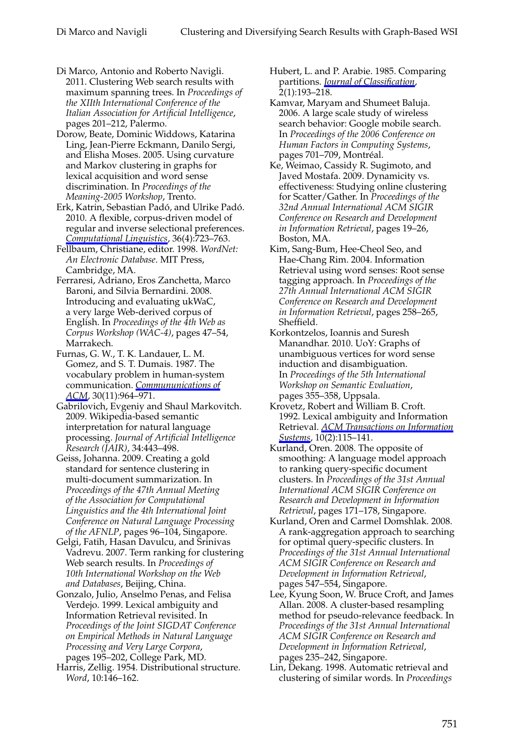- Di Marco, Antonio and Roberto Navigli. 2011. Clustering Web search results with maximum spanning trees. In *Proceedings of the XIIth International Conference of the Italian Association for Artificial Intelligence*, pages 201–212, Palermo.
- Dorow, Beate, Dominic Widdows, Katarina Ling, Jean-Pierre Eckmann, Danilo Sergi, and Elisha Moses. 2005. Using curvature and Markov clustering in graphs for lexical acquisition and word sense discrimination. In *Proceedings of the Meaning-2005 Workshop*, Trento.
- Erk, Katrin, Sebastian Padó, and Ulrike Padó. 2010. A flexible, corpus-driven model of regular and inverse selectional preferences. *Computational Linguistics*, 36(4):723–763.
- Fellbaum, Christiane, editor. 1998. *WordNet: An Electronic Database*. MIT Press, Cambridge, MA.
- Ferraresi, Adriano, Eros Zanchetta, Marco Baroni, and Silvia Bernardini. 2008. Introducing and evaluating ukWaC, a very large Web-derived corpus of English. In *Proceedings of the 4th Web as Corpus Workshop (WAC-4)*, pages 47–54, Marrakech.
- Furnas, G. W., T. K. Landauer, L. M. Gomez, and S. T. Dumais. 1987. The vocabulary problem in human-system communication. *Commununications of ACM*, 30(11):964–971.
- Gabrilovich, Evgeniy and Shaul Markovitch. 2009. Wikipedia-based semantic interpretation for natural language processing. *Journal of Artificial Intelligence Research (JAIR)*, 34:443–498.
- Geiss, Johanna. 2009. Creating a gold standard for sentence clustering in multi-document summarization. In *Proceedings of the 47th Annual Meeting of the Association for Computational Linguistics and the 4th International Joint Conference on Natural Language Processing of the AFNLP*, pages 96–104, Singapore.
- Gelgi, Fatih, Hasan Davulcu, and Srinivas Vadrevu. 2007. Term ranking for clustering Web search results. In *Proceedings of 10th International Workshop on the Web and Databases*, Beijing, China.
- Gonzalo, Julio, Anselmo Penas, and Felisa Verdejo. 1999. Lexical ambiguity and Information Retrieval revisited. In *Proceedings of the Joint SIGDAT Conference on Empirical Methods in Natural Language Processing and Very Large Corpora*, pages 195–202, College Park, MD.
- Harris, Zellig. 1954. Distributional structure. *Word*, 10:146–162.
- Hubert, L. and P. Arabie. 1985. Comparing partitions. *Journal of Classification*, 2(1):193–218.
- Kamvar, Maryam and Shumeet Baluja. 2006. A large scale study of wireless search behavior: Google mobile search. In *Proceedings of the 2006 Conference on Human Factors in Computing Systems*, pages 701-709, Montréal.
- Ke, Weimao, Cassidy R. Sugimoto, and Javed Mostafa. 2009. Dynamicity vs. effectiveness: Studying online clustering for Scatter/Gather. In *Proceedings of the 32nd Annual International ACM SIGIR Conference on Research and Development in Information Retrieval*, pages 19–26, Boston, MA.
- Kim, Sang-Bum, Hee-Cheol Seo, and Hae-Chang Rim. 2004. Information Retrieval using word senses: Root sense tagging approach. In *Proceedings of the 27th Annual International ACM SIGIR Conference on Research and Development in Information Retrieval*, pages 258–265, Sheffield.
- Korkontzelos, Ioannis and Suresh Manandhar. 2010. UoY: Graphs of unambiguous vertices for word sense induction and disambiguation. In *Proceedings of the 5th International Workshop on Semantic Evaluation*, pages 355–358, Uppsala.
- Krovetz, Robert and William B. Croft. 1992. Lexical ambiguity and Information Retrieval. *ACM Transactions on Information Systems*, 10(2):115–141.
- Kurland, Oren. 2008. The opposite of smoothing: A language model approach to ranking query-specific document clusters. In *Proceedings of the 31st Annual International ACM SIGIR Conference on Research and Development in Information Retrieval*, pages 171–178, Singapore.
- Kurland, Oren and Carmel Domshlak. 2008. A rank-aggregation approach to searching for optimal query-specific clusters. In *Proceedings of the 31st Annual International ACM SIGIR Conference on Research and Development in Information Retrieval*, pages 547–554, Singapore.
- Lee, Kyung Soon, W. Bruce Croft, and James Allan. 2008. A cluster-based resampling method for pseudo-relevance feedback. In *Proceedings of the 31st Annual International ACM SIGIR Conference on Research and Development in Information Retrieval*, pages 235–242, Singapore.
- Lin, Dekang. 1998. Automatic retrieval and clustering of similar words. In *Proceedings*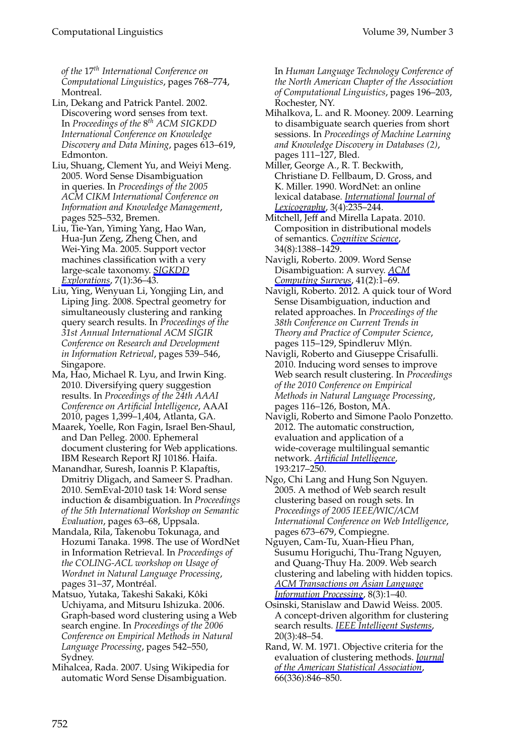#### Computational Linguistics Volume 39, Number 3

*of the* 17*th International Conference on Computational Linguistics*, pages 768–774, Montreal.

- Lin, Dekang and Patrick Pantel. 2002. Discovering word senses from text. In *Proceedings of the* 8*th ACM SIGKDD International Conference on Knowledge Discovery and Data Mining*, pages 613–619, Edmonton.
- Liu, Shuang, Clement Yu, and Weiyi Meng. 2005. Word Sense Disambiguation in queries. In *Proceedings of the 2005 ACM CIKM International Conference on Information and Knowledge Management*, pages 525–532, Bremen.
- Liu, Tie-Yan, Yiming Yang, Hao Wan, Hua-Jun Zeng, Zheng Chen, and Wei-Ying Ma. 2005. Support vector machines classification with a very large-scale taxonomy. *SIGKDD Explorations*, 7(1):36–43.
- Liu, Ying, Wenyuan Li, Yongjing Lin, and Liping Jing. 2008. Spectral geometry for simultaneously clustering and ranking query search results. In *Proceedings of the 31st Annual International ACM SIGIR Conference on Research and Development in Information Retrieval*, pages 539–546, Singapore.
- Ma, Hao, Michael R. Lyu, and Irwin King. 2010. Diversifying query suggestion results. In *Proceedings of the 24th AAAI Conference on Artificial Intelligence*, AAAI 2010, pages 1,399–1,404, Atlanta, GA.
- Maarek, Yoelle, Ron Fagin, Israel Ben-Shaul, and Dan Pelleg. 2000. Ephemeral document clustering for Web applications. IBM Research Report RJ 10186. Haifa.
- Manandhar, Suresh, Ioannis P. Klapaftis, Dmitriy Dligach, and Sameer S. Pradhan. 2010. SemEval-2010 task 14: Word sense induction & disambiguation. In *Proceedings of the 5th International Workshop on Semantic Evaluation*, pages 63–68, Uppsala.
- Mandala, Rila, Takenobu Tokunaga, and Hozumi Tanaka. 1998. The use of WordNet in Information Retrieval. In *Proceedings of the COLING-ACL workshop on Usage of Wordnet in Natural Language Processing*, pages 31–37, Montréal.

Matsuo, Yutaka, Takeshi Sakaki, Kôki Uchiyama, and Mitsuru Ishizuka. 2006. Graph-based word clustering using a Web search engine. In *Proceedings of the 2006 Conference on Empirical Methods in Natural Language Processing*, pages 542–550, Sydney.

Mihalcea, Rada. 2007. Using Wikipedia for automatic Word Sense Disambiguation.

In *Human Language Technology Conference of the North American Chapter of the Association of Computational Linguistics*, pages 196–203, Rochester, NY.

- Mihalkova, L. and R. Mooney. 2009. Learning to disambiguate search queries from short sessions. In *Proceedings of Machine Learning and Knowledge Discovery in Databases (2)*, pages 111–127, Bled.
- Miller, George A., R. T. Beckwith, Christiane D. Fellbaum, D. Gross, and K. Miller. 1990. WordNet: an online lexical database. *International Journal of Lexicography*, 3(4):235–244.
- Mitchell, Jeff and Mirella Lapata. 2010. Composition in distributional models of semantics. *Cognitive Science*, 34(8):1388–1429.
- Navigli, Roberto. 2009. Word Sense Disambiguation: A survey. *ACM Computing Surveys*, 41(2):1–69.
- Navigli, Roberto. 2012. A quick tour of Word Sense Disambiguation, induction and related approaches. In *Proceedings of the 38th Conference on Current Trends in Theory and Practice of Computer Science*, pages 115–129, Spindleruv Mlyn. ´
- Navigli, Roberto and Giuseppe Crisafulli. 2010. Inducing word senses to improve Web search result clustering. In *Proceedings of the 2010 Conference on Empirical Methods in Natural Language Processing*, pages 116–126, Boston, MA.
- Navigli, Roberto and Simone Paolo Ponzetto. 2012. The automatic construction, evaluation and application of a wide-coverage multilingual semantic network. *Artificial Intelligence*, 193:217–250.
- Ngo, Chi Lang and Hung Son Nguyen. 2005. A method of Web search result clustering based on rough sets. In *Proceedings of 2005 IEEE/WIC/ACM International Conference on Web Intelligence*, pages 673–679, Compiegne.
- Nguyen, Cam-Tu, Xuan-Hieu Phan, Susumu Horiguchi, Thu-Trang Nguyen, and Quang-Thuy Ha. 2009. Web search clustering and labeling with hidden topics. *ACM Transactions on Asian Language Information Processing*, 8(3):1–40.
- Osinski, Stanislaw and Dawid Weiss. 2005. A concept-driven algorithm for clustering search results. *IEEE Intelligent Systems*, 20(3):48–54.
- Rand, W. M. 1971. Objective criteria for the evaluation of clustering methods. *Journal of the American Statistical Association*, 66(336):846–850.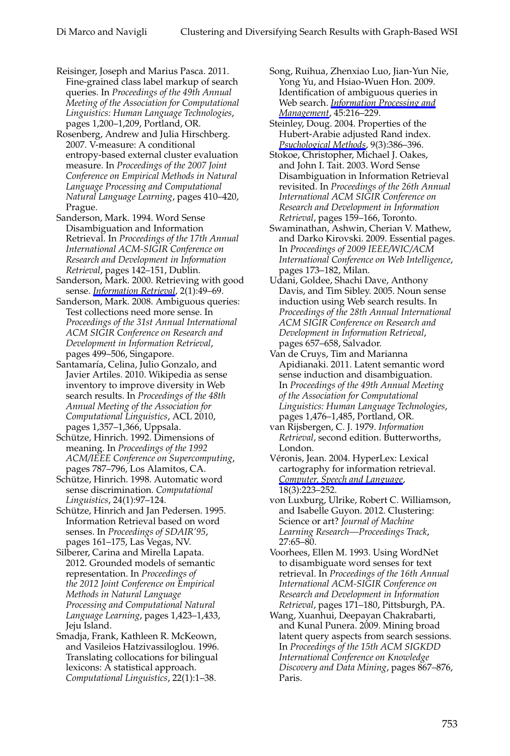Reisinger, Joseph and Marius Pasca. 2011. Fine-grained class label markup of search queries. In *Proceedings of the 49th Annual Meeting of the Association for Computational Linguistics: Human Language Technologies*, pages 1,200–1,209, Portland, OR.

Rosenberg, Andrew and Julia Hirschberg. 2007. V-measure: A conditional entropy-based external cluster evaluation measure. In *Proceedings of the 2007 Joint Conference on Empirical Methods in Natural Language Processing and Computational Natural Language Learning*, pages 410–420, Prague.

- Sanderson, Mark. 1994. Word Sense Disambiguation and Information Retrieval. In *Proceedings of the 17th Annual International ACM-SIGIR Conference on Research and Development in Information Retrieval*, pages 142–151, Dublin.
- Sanderson, Mark. 2000. Retrieving with good sense. *Information Retrieval*, 2(1):49–69.
- Sanderson, Mark. 2008. Ambiguous queries: Test collections need more sense. In *Proceedings of the 31st Annual International ACM SIGIR Conference on Research and Development in Information Retrieval*, pages 499–506, Singapore.
- Santamaría, Celina, Julio Gonzalo, and Javier Artiles. 2010. Wikipedia as sense inventory to improve diversity in Web search results. In *Proceedings of the 48th Annual Meeting of the Association for Computational Linguistics*, ACL 2010, pages 1,357–1,366, Uppsala.
- Schütze, Hinrich. 1992. Dimensions of meaning. In *Proceedings of the 1992 ACM/IEEE Conference on Supercomputing*, pages 787–796, Los Alamitos, CA.
- Schütze, Hinrich. 1998. Automatic word sense discrimination. *Computational Linguistics*, 24(1):97–124.
- Schütze, Hinrich and Jan Pedersen. 1995. Information Retrieval based on word senses. In *Proceedings of SDAIR'95*, pages 161–175, Las Vegas, NV.
- Silberer, Carina and Mirella Lapata. 2012. Grounded models of semantic representation. In *Proceedings of the 2012 Joint Conference on Empirical Methods in Natural Language Processing and Computational Natural Language Learning*, pages 1,423–1,433, Jeju Island.
- Smadja, Frank, Kathleen R. McKeown, and Vasileios Hatzivassiloglou. 1996. Translating collocations for bilingual lexicons: A statistical approach. *Computational Linguistics*, 22(1):1–38.
- Song, Ruihua, Zhenxiao Luo, Jian-Yun Nie, Yong Yu, and Hsiao-Wuen Hon. 2009. Identification of ambiguous queries in Web search. *Information Processing and Management*, 45:216–229.
- Steinley, Doug. 2004. Properties of the Hubert-Arabie adjusted Rand index. *Psychological Methods*, 9(3):386–396.
- Stokoe, Christopher, Michael J. Oakes, and John I. Tait. 2003. Word Sense Disambiguation in Information Retrieval revisited. In *Proceedings of the 26th Annual International ACM SIGIR Conference on Research and Development in Information Retrieval*, pages 159–166, Toronto.
- Swaminathan, Ashwin, Cherian V. Mathew, and Darko Kirovski. 2009. Essential pages. In *Proceedings of 2009 IEEE/WIC/ACM International Conference on Web Intelligence*, pages 173–182, Milan.
- Udani, Goldee, Shachi Dave, Anthony Davis, and Tim Sibley. 2005. Noun sense induction using Web search results. In *Proceedings of the 28th Annual International ACM SIGIR Conference on Research and Development in Information Retrieval*, pages 657–658, Salvador.
- Van de Cruys, Tim and Marianna Apidianaki. 2011. Latent semantic word sense induction and disambiguation. In *Proceedings of the 49th Annual Meeting of the Association for Computational Linguistics: Human Language Technologies*, pages 1,476–1,485, Portland, OR.
- van Rijsbergen, C. J. 1979. *Information Retrieval*, second edition. Butterworths, London.
- Véronis, Jean. 2004. HyperLex: Lexical cartography for information retrieval. *Computer, Speech and Language*, 18(3):223–252.
- von Luxburg, Ulrike, Robert C. Williamson, and Isabelle Guyon. 2012. Clustering: Science or art? *Journal of Machine Learning Research—Proceedings Track*, 27:65–80.
- Voorhees, Ellen M. 1993. Using WordNet to disambiguate word senses for text retrieval. In *Proceedings of the 16th Annual International ACM-SIGIR Conference on Research and Development in Information Retrieval*, pages 171–180, Pittsburgh, PA.
- Wang, Xuanhui, Deepayan Chakrabarti, and Kunal Punera. 2009. Mining broad latent query aspects from search sessions. In *Proceedings of the 15th ACM SIGKDD International Conference on Knowledge Discovery and Data Mining*, pages 867–876, Paris.